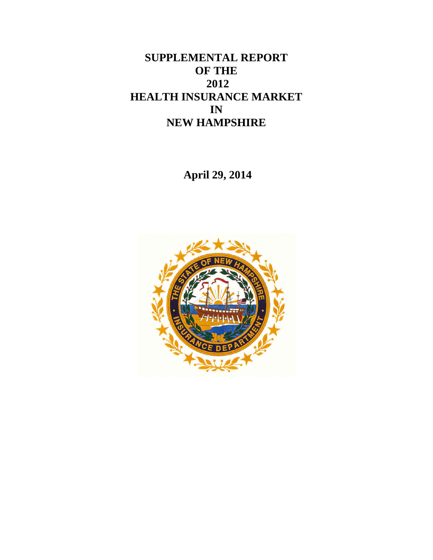# **SUPPLEMENTAL REPORT OF THE 2012 HEALTH INSURANCE MARKET IN NEW HAMPSHIRE**

**April 29, 2014**

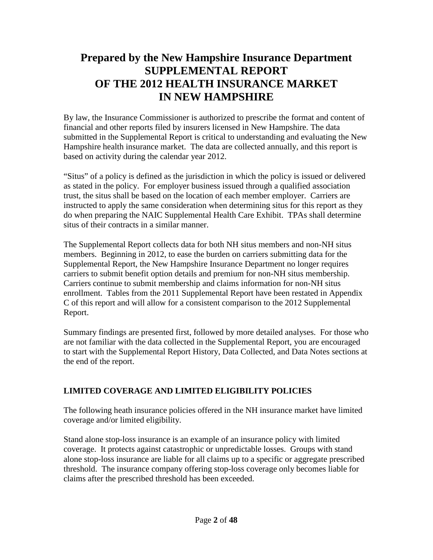# **Prepared by the New Hampshire Insurance Department SUPPLEMENTAL REPORT OF THE 2012 HEALTH INSURANCE MARKET IN NEW HAMPSHIRE**

By law, the Insurance Commissioner is authorized to prescribe the format and content of financial and other reports filed by insurers licensed in New Hampshire. The data submitted in the Supplemental Report is critical to understanding and evaluating the New Hampshire health insurance market. The data are collected annually, and this report is based on activity during the calendar year 2012.

"Situs" of a policy is defined as the jurisdiction in which the policy is issued or delivered as stated in the policy. For employer business issued through a qualified association trust, the situs shall be based on the location of each member employer. Carriers are instructed to apply the same consideration when determining situs for this report as they do when preparing the NAIC Supplemental Health Care Exhibit. TPAs shall determine situs of their contracts in a similar manner.

The Supplemental Report collects data for both NH situs members and non-NH situs members. Beginning in 2012, to ease the burden on carriers submitting data for the Supplemental Report, the New Hampshire Insurance Department no longer requires carriers to submit benefit option details and premium for non-NH situs membership. Carriers continue to submit membership and claims information for non-NH situs enrollment. Tables from the 2011 Supplemental Report have been restated in Appendix C of this report and will allow for a consistent comparison to the 2012 Supplemental Report.

Summary findings are presented first, followed by more detailed analyses. For those who are not familiar with the data collected in the Supplemental Report, you are encouraged to start with the Supplemental Report History, Data Collected, and Data Notes sections at the end of the report.

# **LIMITED COVERAGE AND LIMITED ELIGIBILITY POLICIES**

The following heath insurance policies offered in the NH insurance market have limited coverage and/or limited eligibility.

Stand alone stop-loss insurance is an example of an insurance policy with limited coverage. It protects against catastrophic or unpredictable losses. Groups with stand alone stop-loss insurance are liable for all claims up to a specific or aggregate prescribed threshold. The insurance company offering stop-loss coverage only becomes liable for claims after the prescribed threshold has been exceeded.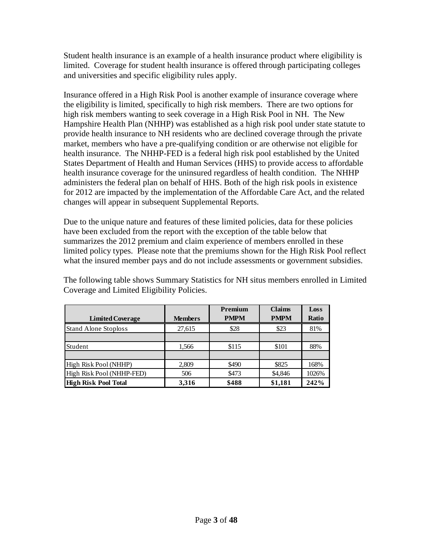Student health insurance is an example of a health insurance product where eligibility is limited. Coverage for student health insurance is offered through participating colleges and universities and specific eligibility rules apply.

Insurance offered in a High Risk Pool is another example of insurance coverage where the eligibility is limited, specifically to high risk members. There are two options for high risk members wanting to seek coverage in a High Risk Pool in NH. The New Hampshire Health Plan (NHHP) was established as a high risk pool under state statute to provide health insurance to NH residents who are declined coverage through the private market, members who have a pre-qualifying condition or are otherwise not eligible for health insurance. The NHHP-FED is a federal high risk pool established by the United States Department of Health and Human Services (HHS) to provide access to affordable health insurance coverage for the uninsured regardless of health condition. The NHHP administers the federal plan on behalf of HHS. Both of the high risk pools in existence for 2012 are impacted by the implementation of the Affordable Care Act, and the related changes will appear in subsequent Supplemental Reports.

Due to the unique nature and features of these limited policies, data for these policies have been excluded from the report with the exception of the table below that summarizes the 2012 premium and claim experience of members enrolled in these limited policy types. Please note that the premiums shown for the High Risk Pool reflect what the insured member pays and do not include assessments or government subsidies.

|                             |                | Premium     | <b>Claims</b> | Loss  |
|-----------------------------|----------------|-------------|---------------|-------|
| <b>Limited Coverage</b>     | <b>Members</b> | <b>PMPM</b> | <b>PMPM</b>   | Ratio |
| <b>Stand Alone Stoploss</b> | 27,615         | \$28        | \$23          | 81%   |
|                             |                |             |               |       |
| Student                     | 1,566          | \$115       | \$101         | 88%   |
|                             |                |             |               |       |
| High Risk Pool (NHHP)       | 2,809          | \$490       | \$825         | 168%  |
| High Risk Pool (NHHP-FED)   | 506            | \$473       | \$4,846       | 1026% |
| <b>High Risk Pool Total</b> | 3.316          | \$488       | \$1,181       | 242%  |

The following table shows Summary Statistics for NH situs members enrolled in Limited Coverage and Limited Eligibility Policies.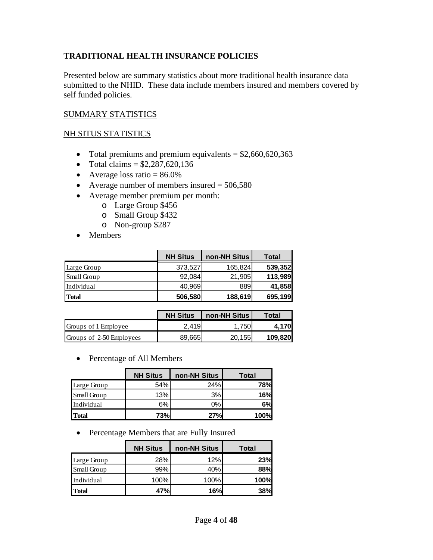# **TRADITIONAL HEALTH INSURANCE POLICIES**

Presented below are summary statistics about more traditional health insurance data submitted to the NHID. These data include members insured and members covered by self funded policies.

### SUMMARY STATISTICS

#### NH SITUS STATISTICS

- Total premiums and premium equivalents  $= $2,660,620,363$
- Total claims  $= $2,287,620,136$
- Average loss ratio  $= 86.0\%$
- Average number of members insured  $= 506,580$
- Average member premium per month:
	- o Large Group \$456
	- o Small Group \$432
	- o Non-group \$287
- Members

|              | <b>NH Situs</b> | non-NH Situs | <b>Total</b> |
|--------------|-----------------|--------------|--------------|
| Large Group  | 373,527         | 165,824      | 539,352      |
| Small Group  | 92,084          | 21,905       | 113,989      |
| Individual   | 40,969          | 889          | 41,858       |
| <b>Total</b> | 506,580         | 188,619      | 695,199      |

|                          | <b>NH Situs</b> | non-NH Situs | <b>Total</b> |
|--------------------------|-----------------|--------------|--------------|
| Groups of 1 Employee     | 2.419           | 1.750        | 4.170        |
| Groups of 2-50 Employees | 89.665          | 20.155       | 109,820      |

• Percentage of All Members

|              | <b>NH Situs</b> | non-NH Situs | Total      |
|--------------|-----------------|--------------|------------|
| Large Group  | 54%             | 24%          | <b>78%</b> |
| Small Group  | 13%             | 3%           | 16%        |
| Individual   | 6%              | $0\%$        | 6%         |
| <b>Total</b> | 73%             | 27%          | 100%       |

• Percentage Members that are Fully Insured

|              | <b>NH Situs</b> | non-NH Situs | Total      |
|--------------|-----------------|--------------|------------|
| Large Group  | 28%             | 12%          | 23%        |
| Small Group  | 99%             | 40%          | 88%        |
| Individual   | 100%            | 100%         | 100%       |
| <b>Total</b> | 47%             | 16%          | <b>38%</b> |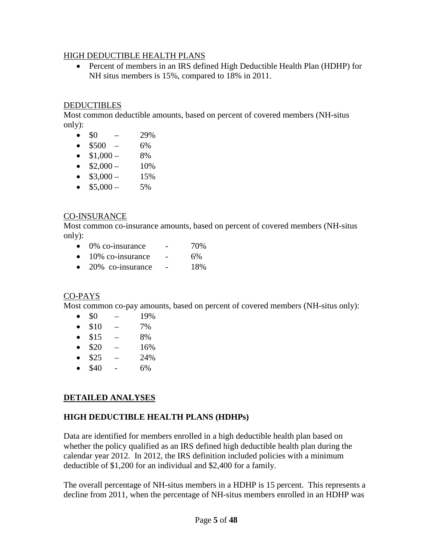#### HIGH DEDUCTIBLE HEALTH PLANS

• Percent of members in an IRS defined High Deductible Health Plan (HDHP) for NH situs members is 15%, compared to 18% in 2011.

### **DEDUCTIBLES**

Most common deductible amounts, based on percent of covered members (NH-situs only):

- $$0 29\%$
- $$500 6\%$
- $$1,000 8\%$
- $$2,000 10\%$
- $$3,000 15\%$
- $$5,000 5\%$

#### CO-INSURANCE

Most common co-insurance amounts, based on percent of covered members (NH-situs only):

- $\bullet$  0% co-insurance  $\bullet$  70%
- $\bullet$  10% co-insurance 6%
- $20\%$  co-insurance  $18\%$

#### CO-PAYS

Most common co-pay amounts, based on percent of covered members (NH-situs only):

- $\$0$  19%
- $$10 7\%$
- $$15 8\%$
- $$20 16\%$
- $$25 24\%$
- $$40 6\%$

# **DETAILED ANALYSES**

### **HIGH DEDUCTIBLE HEALTH PLANS (HDHPs)**

Data are identified for members enrolled in a high deductible health plan based on whether the policy qualified as an IRS defined high deductible health plan during the calendar year 2012. In 2012, the IRS definition included policies with a minimum deductible of \$1,200 for an individual and \$2,400 for a family.

The overall percentage of NH-situs members in a HDHP is 15 percent. This represents a decline from 2011, when the percentage of NH-situs members enrolled in an HDHP was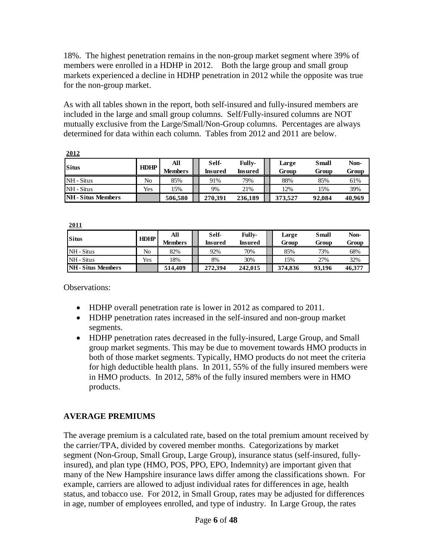18%. The highest penetration remains in the non-group market segment where 39% of members were enrolled in a HDHP in 2012. Both the large group and small group markets experienced a decline in HDHP penetration in 2012 while the opposite was true for the non-group market.

As with all tables shown in the report, both self-insured and fully-insured members are included in the large and small group columns. Self/Fully-insured columns are NOT mutually exclusive from the Large/Small/Non-Group columns. Percentages are always determined for data within each column. Tables from 2012 and 2011 are below.

| <b>Situs</b>              | <b>HDHP</b> | All<br>Members | Self-<br>Insured | <b>Fully-</b><br>Insured | Large<br>Group | <b>Small</b><br>Group | Non-<br>Group |
|---------------------------|-------------|----------------|------------------|--------------------------|----------------|-----------------------|---------------|
| NH - Situs                | No          | 85%            | 91%              | 79%                      | 88%            | 85%                   | 61%           |
| NH - Situs                | Yes         | 15%            | 9%               | 21%                      | 12%            | 15%                   | 39%           |
| <b>NH</b> - Situs Members |             | 506.580        | 270.391          | 236,189                  | 373.527        | 92,084                | 40.969        |

**2011**

**2012**

| <b>Situs</b>              | <b>HDHP</b> | All<br><b>Members</b> | Self-<br>Insured | Fully-<br>Insured | Large<br>Group | <b>Small</b><br>Group | Non-<br>Group |
|---------------------------|-------------|-----------------------|------------------|-------------------|----------------|-----------------------|---------------|
| NH - Situs                | No          | 82%                   | 92%              | 70%               | 85%            | 73%                   | 68%           |
| NH - Situs                | Yes         | 18%                   | 8%               | 30%               | 15%            | 27%                   | 32%           |
| <b>NH</b> - Situs Members |             | 514,409               | 272.394          | 242,015           | 374,836        | 93.196                | 46.377        |

Observations:

- HDHP overall penetration rate is lower in 2012 as compared to 2011.
- HDHP penetration rates increased in the self-insured and non-group market segments.
- HDHP penetration rates decreased in the fully-insured, Large Group, and Small group market segments. This may be due to movement towards HMO products in both of those market segments. Typically, HMO products do not meet the criteria for high deductible health plans. In 2011, 55% of the fully insured members were in HMO products. In 2012, 58% of the fully insured members were in HMO products.

# **AVERAGE PREMIUMS**

The average premium is a calculated rate, based on the total premium amount received by the carrier/TPA, divided by covered member months. Categorizations by market segment (Non-Group, Small Group, Large Group), insurance status (self-insured, fullyinsured), and plan type (HMO, POS, PPO, EPO, Indemnity) are important given that many of the New Hampshire insurance laws differ among the classifications shown. For example, carriers are allowed to adjust individual rates for differences in age, health status, and tobacco use. For 2012, in Small Group, rates may be adjusted for differences in age, number of employees enrolled, and type of industry. In Large Group, the rates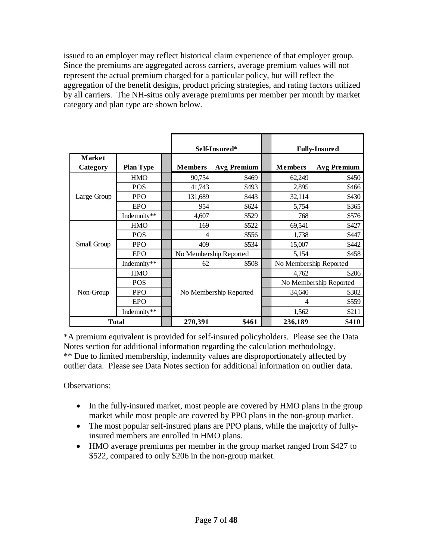issued to an employer may reflect historical claim experience of that employer group. Since the premiums are aggregated across carriers, average premium values will not represent the actual premium charged for a particular policy, but will reflect the aggregation of the benefit designs, product pricing strategies, and rating factors utilized by all carriers. The NH-situs only average premiums per member per month by market category and plan type are shown below.

|                           |                  |                | Self-Insured*          |                        | <b>Fully-Insured</b>   |
|---------------------------|------------------|----------------|------------------------|------------------------|------------------------|
| <b>Market</b><br>Category | <b>Plan Type</b> | <b>Members</b> | <b>Avg Premium</b>     | <b>Members</b>         | <b>Avg Premium</b>     |
|                           | <b>HMO</b>       | 90,754         | \$469                  | 62,249                 | \$450                  |
|                           | <b>POS</b>       | 41,743         | \$493                  | 2,895                  | \$466                  |
| Large Group               | <b>PPO</b>       | 131,689        | \$443                  | 32,114                 | \$430                  |
|                           | EPO              | 954            | \$624                  | 5,754                  | \$365                  |
|                           | Indemnity**      | 4,607          | \$529                  | 768                    | \$576                  |
|                           | <b>HMO</b>       | 169            | \$522                  | 69,541                 | \$427                  |
|                           | <b>POS</b>       | $\overline{4}$ | \$556                  | 1,738                  | \$447                  |
| Small Group               | <b>PPO</b>       | 409            | \$534                  | 15,007                 | \$442                  |
|                           | <b>EPO</b>       |                | No Membership Reported | 5,154                  | \$458                  |
|                           | Indemnity**      | 62             | \$508                  | No Membership Reported |                        |
|                           | <b>HMO</b>       |                |                        | 4,762                  | \$206                  |
|                           | <b>POS</b>       |                |                        |                        | No Membership Reported |
| Non-Group                 | <b>PPO</b>       |                | No Membership Reported | 34,640                 | \$302                  |
|                           | <b>EPO</b>       |                |                        | 4                      | \$559                  |
|                           | Indemnity**      |                |                        | 1,562                  | \$211                  |
|                           | <b>Total</b>     | 270,391        | \$461                  | 236,189                | \$410                  |

\*A premium equivalent is provided for self-insured policyholders. Please see the Data Notes section for additional information regarding the calculation methodology. \*\* Due to limited membership, indemnity values are disproportionately affected by outlier data. Please see Data Notes section for additional information on outlier data.

Observations:

- In the fully-insured market, most people are covered by HMO plans in the group market while most people are covered by PPO plans in the non-group market.
- The most popular self-insured plans are PPO plans, while the majority of fullyinsured members are enrolled in HMO plans.
- HMO average premiums per member in the group market ranged from \$427 to \$522, compared to only \$206 in the non-group market.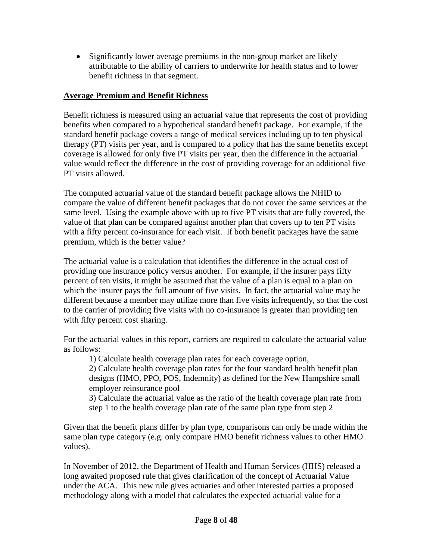• Significantly lower average premiums in the non-group market are likely attributable to the ability of carriers to underwrite for health status and to lower benefit richness in that segment.

# **Average Premium and Benefit Richness**

Benefit richness is measured using an actuarial value that represents the cost of providing benefits when compared to a hypothetical standard benefit package. For example, if the standard benefit package covers a range of medical services including up to ten physical therapy (PT) visits per year, and is compared to a policy that has the same benefits except coverage is allowed for only five PT visits per year, then the difference in the actuarial value would reflect the difference in the cost of providing coverage for an additional five PT visits allowed.

The computed actuarial value of the standard benefit package allows the NHID to compare the value of different benefit packages that do not cover the same services at the same level. Using the example above with up to five PT visits that are fully covered, the value of that plan can be compared against another plan that covers up to ten PT visits with a fifty percent co-insurance for each visit. If both benefit packages have the same premium, which is the better value?

The actuarial value is a calculation that identifies the difference in the actual cost of providing one insurance policy versus another. For example, if the insurer pays fifty percent of ten visits, it might be assumed that the value of a plan is equal to a plan on which the insurer pays the full amount of five visits. In fact, the actuarial value may be different because a member may utilize more than five visits infrequently, so that the cost to the carrier of providing five visits with no co-insurance is greater than providing ten with fifty percent cost sharing.

For the actuarial values in this report, carriers are required to calculate the actuarial value as follows:

1) Calculate health coverage plan rates for each coverage option,

2) Calculate health coverage plan rates for the four standard health benefit plan designs (HMO, PPO, POS, Indemnity) as defined for the New Hampshire small employer reinsurance pool

3) Calculate the actuarial value as the ratio of the health coverage plan rate from step 1 to the health coverage plan rate of the same plan type from step 2

Given that the benefit plans differ by plan type, comparisons can only be made within the same plan type category (e.g. only compare HMO benefit richness values to other HMO values).

In November of 2012, the Department of Health and Human Services (HHS) released a long awaited proposed rule that gives clarification of the concept of Actuarial Value under the ACA. This new rule gives actuaries and other interested parties a proposed methodology along with a model that calculates the expected actuarial value for a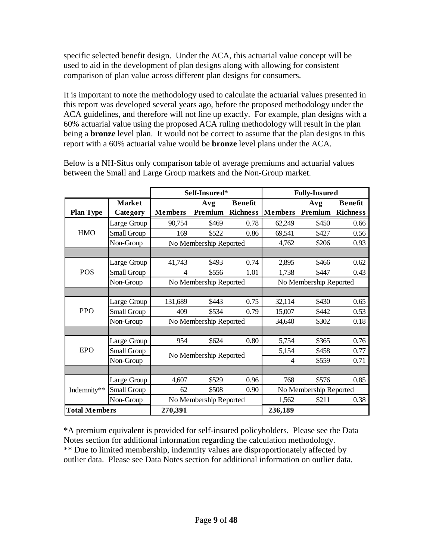specific selected benefit design. Under the ACA, this actuarial value concept will be used to aid in the development of plan designs along with allowing for consistent comparison of plan value across different plan designs for consumers.

It is important to note the methodology used to calculate the actuarial values presented in this report was developed several years ago, before the proposed methodology under the ACA guidelines, and therefore will not line up exactly. For example, plan designs with a 60% actuarial value using the proposed ACA ruling methodology will result in the plan being a **bronze** level plan. It would not be correct to assume that the plan designs in this report with a 60% actuarial value would be **bronze** level plans under the ACA.

|                      |               |                | Self-Insured*          |                 |                        | <b>Fully-Insured</b>   |                 |
|----------------------|---------------|----------------|------------------------|-----------------|------------------------|------------------------|-----------------|
|                      | <b>Market</b> |                | Avg                    | <b>Benefit</b>  |                        | Avg                    | <b>Benefit</b>  |
| <b>Plan Type</b>     | Category      | <b>Members</b> | Premium                | <b>Richness</b> | <b>Members</b>         | Premium                | <b>Richness</b> |
|                      | Large Group   | 90,754         | \$469                  | 0.78            | 62,249                 | \$450                  | 0.66            |
| <b>HMO</b>           | Small Group   | 169            | \$522                  | 0.86            | 69,541                 | \$427                  | 0.56            |
|                      | Non-Group     |                | No Membership Reported |                 | 4,762                  | \$206                  | 0.93            |
|                      |               |                |                        |                 |                        |                        |                 |
|                      | Large Group   | 41,743         | \$493                  | 0.74            | 2,895                  | \$466                  | 0.62            |
| <b>POS</b>           | Small Group   | 4              | \$556                  | 1.01            | 1,738                  | \$447                  | 0.43            |
|                      | Non-Group     |                | No Membership Reported |                 | No Membership Reported |                        |                 |
|                      |               |                |                        |                 |                        |                        |                 |
|                      | Large Group   | 131,689        | \$443                  | 0.75            | 32,114                 | \$430                  | 0.65            |
| <b>PPO</b>           | Small Group   | 409            | \$534                  | 0.79            | 15,007                 | \$442                  | 0.53            |
|                      | Non-Group     |                | No Membership Reported |                 | 34,640                 | \$302                  | 0.18            |
|                      |               |                |                        |                 |                        |                        |                 |
|                      | Large Group   | 954            | \$624                  | 0.80            | 5,754                  | \$365                  | 0.76            |
| <b>EPO</b>           | Small Group   |                | No Membership Reported |                 | 5,154                  | \$458                  | 0.77            |
|                      | Non-Group     |                |                        |                 | 4                      | \$559                  | 0.71            |
|                      |               |                |                        |                 |                        |                        |                 |
|                      | Large Group   | 4,607          | \$529                  | 0.96            | 768                    | \$576                  | 0.85            |
| Indemnity**          | Small Group   | 62             | \$508                  | 0.90            |                        | No Membership Reported |                 |
|                      | Non-Group     |                | No Membership Reported |                 | 1,562                  | \$211                  | 0.38            |
| <b>Total Members</b> |               | 270,391        |                        |                 | 236,189                |                        |                 |

Below is a NH-Situs only comparison table of average premiums and actuarial values between the Small and Large Group markets and the Non-Group market.

\*A premium equivalent is provided for self-insured policyholders. Please see the Data Notes section for additional information regarding the calculation methodology. \*\* Due to limited membership, indemnity values are disproportionately affected by outlier data. Please see Data Notes section for additional information on outlier data.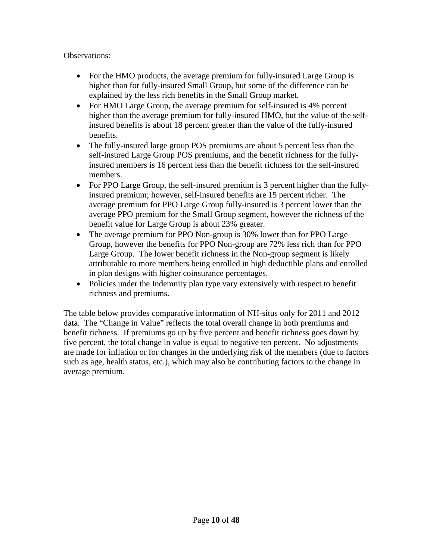Observations:

- For the HMO products, the average premium for fully-insured Large Group is higher than for fully-insured Small Group, but some of the difference can be explained by the less rich benefits in the Small Group market.
- For HMO Large Group, the average premium for self-insured is 4% percent higher than the average premium for fully-insured HMO, but the value of the selfinsured benefits is about 18 percent greater than the value of the fully-insured benefits.
- The fully-insured large group POS premiums are about 5 percent less than the self-insured Large Group POS premiums, and the benefit richness for the fullyinsured members is 16 percent less than the benefit richness for the self-insured members.
- For PPO Large Group, the self-insured premium is 3 percent higher than the fullyinsured premium; however, self-insured benefits are 15 percent richer. The average premium for PPO Large Group fully-insured is 3 percent lower than the average PPO premium for the Small Group segment, however the richness of the benefit value for Large Group is about 23% greater.
- The average premium for PPO Non-group is 30% lower than for PPO Large Group, however the benefits for PPO Non-group are 72% less rich than for PPO Large Group. The lower benefit richness in the Non-group segment is likely attributable to more members being enrolled in high deductible plans and enrolled in plan designs with higher coinsurance percentages.
- Policies under the Indemnity plan type vary extensively with respect to benefit richness and premiums.

The table below provides comparative information of NH-situs only for 2011 and 2012 data. The "Change in Value" reflects the total overall change in both premiums and benefit richness. If premiums go up by five percent and benefit richness goes down by five percent, the total change in value is equal to negative ten percent. No adjustments are made for inflation or for changes in the underlying risk of the members (due to factors such as age, health status, etc.), which may also be contributing factors to the change in average premium.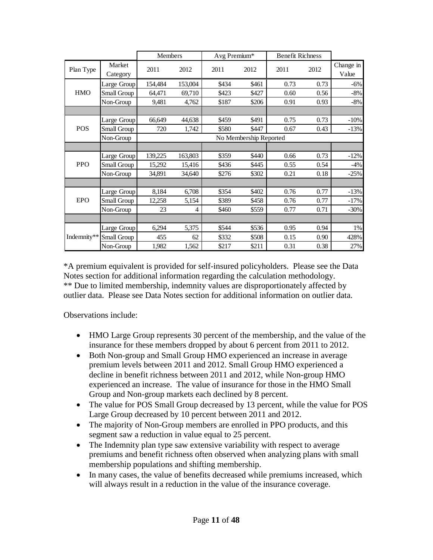|             |                    | <b>Members</b>         |                | Avg Premium* |       | <b>Benefit Richness</b> |      |                    |  |
|-------------|--------------------|------------------------|----------------|--------------|-------|-------------------------|------|--------------------|--|
| Plan Type   | Market<br>Category | 2011                   | 2012           | 2011         | 2012  | 2011                    | 2012 | Change in<br>Value |  |
|             | Large Group        | 154,484                | 153,004        | \$434        | \$461 | 0.73                    | 0.73 | $-6%$              |  |
| <b>HMO</b>  | Small Group        | 64,471                 | 69,710         | \$423        | \$427 | 0.60                    | 0.56 | $-8%$              |  |
|             | Non-Group          | 9,481                  | 4,762          | \$187        | \$206 | 0.91                    | 0.93 | $-8%$              |  |
|             |                    |                        |                |              |       |                         |      |                    |  |
|             | Large Group        | 66,649                 | 44,638         | \$459        | \$491 | 0.75                    | 0.73 | $-10%$             |  |
| <b>POS</b>  | Small Group        | 720                    | 1,742          | \$580        | \$447 | 0.67                    | 0.43 | $-13%$             |  |
|             | Non-Group          | No Membership Reported |                |              |       |                         |      |                    |  |
|             |                    |                        |                |              |       |                         |      |                    |  |
|             | Large Group        | 139,225                | 163,803        | \$359        | \$440 | 0.66                    | 0.73 | $-12%$             |  |
| <b>PPO</b>  | Small Group        | 15,292                 | 15,416         | \$436        | \$445 | 0.55                    | 0.54 | $-4%$              |  |
|             | Non-Group          | 34,891                 | 34,640         | \$276        | \$302 | 0.21                    | 0.18 | $-25%$             |  |
|             |                    |                        |                |              |       |                         |      |                    |  |
|             | Large Group        | 8,184                  | 6,708          | \$354        | \$402 | 0.76                    | 0.77 | $-13%$             |  |
| <b>EPO</b>  | Small Group        | 12,258                 | 5,154          | \$389        | \$458 | 0.76                    | 0.77 | $-17%$             |  |
|             | Non-Group          | 23                     | $\overline{4}$ | \$460        | \$559 | 0.77                    | 0.71 | $-30%$             |  |
|             |                    |                        |                |              |       |                         |      |                    |  |
|             | Large Group        | 6,294                  | 5,375          | \$544        | \$536 | 0.95                    | 0.94 | 1%                 |  |
| Indemnity** | Small Group        | 455                    | 62             | \$332        | \$508 | 0.15                    | 0.90 | 428%               |  |
|             | Non-Group          | 1,982                  | 1,562          | \$217        | \$211 | 0.31                    | 0.38 | 27%                |  |

\*A premium equivalent is provided for self-insured policyholders. Please see the Data Notes section for additional information regarding the calculation methodology. \*\* Due to limited membership, indemnity values are disproportionately affected by outlier data. Please see Data Notes section for additional information on outlier data.

Observations include:

- HMO Large Group represents 30 percent of the membership, and the value of the insurance for these members dropped by about 6 percent from 2011 to 2012.
- Both Non-group and Small Group HMO experienced an increase in average premium levels between 2011 and 2012. Small Group HMO experienced a decline in benefit richness between 2011 and 2012, while Non-group HMO experienced an increase. The value of insurance for those in the HMO Small Group and Non-group markets each declined by 8 percent.
- The value for POS Small Group decreased by 13 percent, while the value for POS Large Group decreased by 10 percent between 2011 and 2012.
- The majority of Non-Group members are enrolled in PPO products, and this segment saw a reduction in value equal to 25 percent.
- The Indemnity plan type saw extensive variability with respect to average premiums and benefit richness often observed when analyzing plans with small membership populations and shifting membership.
- In many cases, the value of benefits decreased while premiums increased, which will always result in a reduction in the value of the insurance coverage.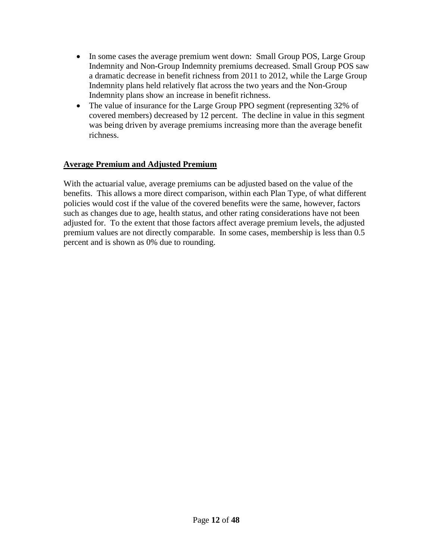- In some cases the average premium went down: Small Group POS, Large Group Indemnity and Non-Group Indemnity premiums decreased. Small Group POS saw a dramatic decrease in benefit richness from 2011 to 2012, while the Large Group Indemnity plans held relatively flat across the two years and the Non-Group Indemnity plans show an increase in benefit richness.
- The value of insurance for the Large Group PPO segment (representing 32% of covered members) decreased by 12 percent. The decline in value in this segment was being driven by average premiums increasing more than the average benefit richness.

### **Average Premium and Adjusted Premium**

With the actuarial value, average premiums can be adjusted based on the value of the benefits. This allows a more direct comparison, within each Plan Type, of what different policies would cost if the value of the covered benefits were the same, however, factors such as changes due to age, health status, and other rating considerations have not been adjusted for. To the extent that those factors affect average premium levels, the adjusted premium values are not directly comparable. In some cases, membership is less than 0.5 percent and is shown as 0% due to rounding.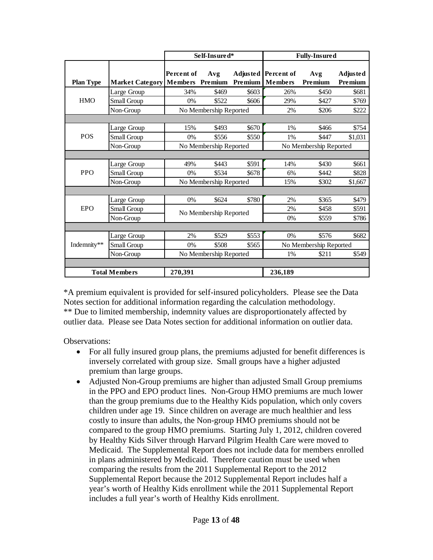|                  |                        | Self-Insured*                        |                        |         |                                       | <b>Fully-Insured</b>   |                            |
|------------------|------------------------|--------------------------------------|------------------------|---------|---------------------------------------|------------------------|----------------------------|
| <b>Plan Type</b> | <b>Market Category</b> | Percent of<br><b>Members</b> Premium | Avg                    | Premium | Adjusted Percent of<br><b>Members</b> | Avg<br>Premium         | <b>Adjusted</b><br>Premium |
|                  | Large Group            | 34%                                  | \$469                  | \$603   | 26%                                   | \$450                  | \$681                      |
| <b>HMO</b>       | Small Group            | 0%                                   | \$522                  | \$606   | 29%                                   | \$427                  | \$769                      |
|                  | Non-Group              |                                      | No Membership Reported |         | 2%                                    | \$206                  | \$222                      |
|                  |                        |                                      |                        |         |                                       |                        |                            |
|                  | Large Group            | 15%                                  | \$493                  | \$670   | 1%                                    | \$466                  | \$754                      |
| <b>POS</b>       | Small Group            | 0%                                   | \$556                  | \$550   | 1%                                    | \$447                  | \$1.031                    |
|                  | Non-Group              |                                      | No Membership Reported |         |                                       | No Membership Reported |                            |
|                  |                        |                                      |                        |         |                                       |                        |                            |
|                  | Large Group            | 49%                                  | \$443                  | \$591   | 14%                                   | \$430                  | \$661                      |
| <b>PPO</b>       | Small Group            | 0%                                   | \$534                  | \$678   | 6%                                    | \$442                  | \$828                      |
|                  | Non-Group              |                                      | No Membership Reported |         | 15%                                   | \$302                  | \$1,667                    |
|                  |                        |                                      |                        |         |                                       |                        |                            |
|                  | Large Group            | 0%                                   | \$624                  | \$780   | 2%                                    | \$365                  | \$479                      |
| <b>EPO</b>       | Small Group            |                                      | No Membership Reported |         | 2%                                    | \$458                  | \$591                      |
|                  | Non-Group              |                                      |                        |         | 0%                                    | \$559                  | \$786                      |
|                  |                        |                                      |                        |         |                                       |                        |                            |
|                  | Large Group            | 2%                                   | \$529                  | \$553   | 0%                                    | \$576                  | \$682                      |
| Indemnity**      | Small Group            | 0%                                   | \$508                  | \$565   |                                       | No Membership Reported |                            |
|                  | Non-Group              |                                      | No Membership Reported |         | 1%                                    | \$211                  | \$549                      |
|                  |                        |                                      |                        |         |                                       |                        |                            |
|                  | <b>Total Members</b>   | 270,391                              |                        |         | 236,189                               |                        |                            |

\*A premium equivalent is provided for self-insured policyholders. Please see the Data Notes section for additional information regarding the calculation methodology. \*\* Due to limited membership, indemnity values are disproportionately affected by outlier data. Please see Data Notes section for additional information on outlier data.

Observations:

- For all fully insured group plans, the premiums adjusted for benefit differences is inversely correlated with group size. Small groups have a higher adjusted premium than large groups.
- Adjusted Non-Group premiums are higher than adjusted Small Group premiums in the PPO and EPO product lines. Non-Group HMO premiums are much lower than the group premiums due to the Healthy Kids population, which only covers children under age 19. Since children on average are much healthier and less costly to insure than adults, the Non-group HMO premiums should not be compared to the group HMO premiums. Starting July 1, 2012, children covered by Healthy Kids Silver through Harvard Pilgrim Health Care were moved to Medicaid. The Supplemental Report does not include data for members enrolled in plans administered by Medicaid. Therefore caution must be used when comparing the results from the 2011 Supplemental Report to the 2012 Supplemental Report because the 2012 Supplemental Report includes half a year's worth of Healthy Kids enrollment while the 2011 Supplemental Report includes a full year's worth of Healthy Kids enrollment.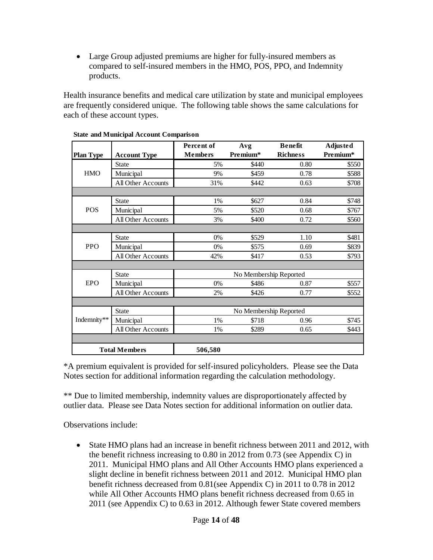• Large Group adjusted premiums are higher for fully-insured members as compared to self-insured members in the HMO, POS, PPO, and Indemnity products.

Health insurance benefits and medical care utilization by state and municipal employees are frequently considered unique. The following table shows the same calculations for each of these account types.

|                  |                      | Percent of     | Avg                    | <b>Benefit</b>  | <b>Adjusted</b> |
|------------------|----------------------|----------------|------------------------|-----------------|-----------------|
| <b>Plan Type</b> | <b>Account Type</b>  | <b>Members</b> | Premium*               | <b>Richness</b> | Premium*        |
|                  | <b>State</b>         | 5%             | \$440                  | 0.80            | \$550           |
| <b>HMO</b>       | Municipal            | 9%             | \$459                  | 0.78            | \$588           |
|                  | All Other Accounts   | 31%            | \$442                  | 0.63            | \$708           |
|                  |                      |                |                        |                 |                 |
|                  | <b>State</b>         | 1%             | \$627                  | 0.84            | \$748           |
| <b>POS</b>       | Municipal            | 5%             | \$520                  | 0.68            | \$767           |
|                  | All Other Accounts   | 3%             | \$400                  | 0.72            | \$560           |
|                  |                      |                |                        |                 |                 |
|                  | <b>State</b>         | 0%             | \$529                  | 1.10            | \$481           |
| <b>PPO</b>       | Municipal            | 0%             | \$575                  | 0.69            | \$839           |
|                  | All Other Accounts   | 42%            | \$417                  | 0.53            | \$793           |
|                  |                      |                |                        |                 |                 |
|                  | <b>State</b>         |                | No Membership Reported |                 |                 |
| <b>EPO</b>       | Municipal            | 0%             | \$486                  | 0.87            | \$557           |
|                  | All Other Accounts   | 2%             | \$426                  | 0.77            | \$552           |
|                  |                      |                |                        |                 |                 |
|                  | <b>State</b>         |                | No Membership Reported |                 |                 |
| Indemnity**      | Municipal            | 1%             | \$718                  | 0.96            | \$745           |
|                  | All Other Accounts   | 1%             | \$289                  | 0.65            | \$443           |
|                  |                      |                |                        |                 |                 |
|                  | <b>Total Members</b> | 506,580        |                        |                 |                 |

#### **State and Municipal Account Comparison**

\*A premium equivalent is provided for self-insured policyholders. Please see the Data Notes section for additional information regarding the calculation methodology.

\*\* Due to limited membership, indemnity values are disproportionately affected by outlier data. Please see Data Notes section for additional information on outlier data.

Observations include:

• State HMO plans had an increase in benefit richness between 2011 and 2012, with the benefit richness increasing to 0.80 in 2012 from 0.73 (see Appendix C) in 2011. Municipal HMO plans and All Other Accounts HMO plans experienced a slight decline in benefit richness between 2011 and 2012. Municipal HMO plan benefit richness decreased from 0.81(see Appendix C) in 2011 to 0.78 in 2012 while All Other Accounts HMO plans benefit richness decreased from 0.65 in 2011 (see Appendix C) to 0.63 in 2012. Although fewer State covered members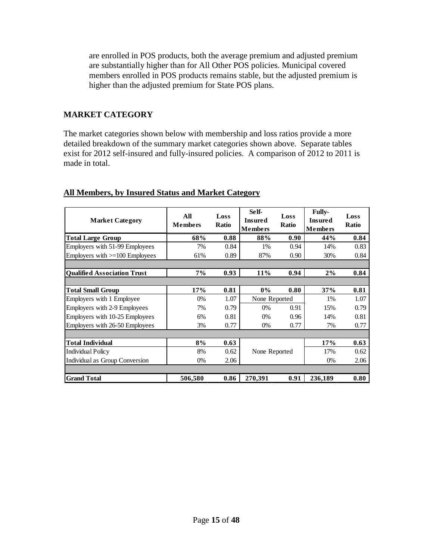are enrolled in POS products, both the average premium and adjusted premium are substantially higher than for All Other POS policies. Municipal covered members enrolled in POS products remains stable, but the adjusted premium is higher than the adjusted premium for State POS plans.

## **MARKET CATEGORY**

The market categories shown below with membership and loss ratios provide a more detailed breakdown of the summary market categories shown above. Separate tables exist for 2012 self-insured and fully-insured policies. A comparison of 2012 to 2011 is made in total.

| <b>Market Category</b>             | All<br><b>Members</b> | Loss<br><b>Ratio</b> | Self-<br><b>Insured</b><br><b>Members</b> | Loss<br><b>Ratio</b> | <b>Fully-</b><br><b>Insured</b><br><b>Members</b> | Loss<br><b>Ratio</b> |
|------------------------------------|-----------------------|----------------------|-------------------------------------------|----------------------|---------------------------------------------------|----------------------|
| <b>Total Large Group</b>           | 68%                   | 0.88                 | 88%                                       | 0.90                 | 44%                                               | 0.84                 |
| Employers with 51-99 Employees     | 7%                    | 0.84                 | 1%                                        | 0.94                 | 14%                                               | 0.83                 |
| Employers with $>=100$ Employees   | 61%                   | 0.89                 | 87%                                       | 0.90                 | 30%                                               | 0.84                 |
|                                    |                       |                      |                                           |                      |                                                   |                      |
| <b>Oualified Association Trust</b> | 7%                    | 0.93                 | 11%                                       | 0.94                 | 2%                                                | 0.84                 |
|                                    |                       |                      |                                           |                      |                                                   |                      |
| <b>Total Small Group</b>           | 17%                   | 0.81                 | $0\%$                                     | 0.80                 | 37%                                               | 0.81                 |
| Employers with 1 Employee          | 0%                    | 1.07                 | None Reported                             |                      | 1%                                                | 1.07                 |
| Employers with 2-9 Employees       | 7%                    | 0.79                 | $0\%$                                     | 0.91                 | 15%                                               | 0.79                 |
| Employers with 10-25 Employees     | 6%                    | 0.81                 | $0\%$                                     | 0.96                 | 14%                                               | 0.81                 |
| Employers with 26-50 Employees     | 3%                    | 0.77                 | $0\%$                                     | 0.77                 | 7%                                                | 0.77                 |
|                                    |                       |                      |                                           |                      |                                                   |                      |
| <b>Total Individual</b>            | 8%                    | 0.63                 |                                           |                      | 17%                                               | 0.63                 |
| <b>Individual Policy</b>           | 8%                    | 0.62                 | None Reported                             |                      | 17%                                               | 0.62                 |
| Individual as Group Conversion     | $0\%$                 | 2.06                 |                                           |                      | $0\%$                                             | 2.06                 |
|                                    |                       |                      |                                           |                      |                                                   |                      |
| <b>Grand Total</b>                 | 506,580               | 0.86                 | 270,391                                   | 0.91                 | 236,189                                           | 0.80                 |

# **All Members, by Insured Status and Market Category**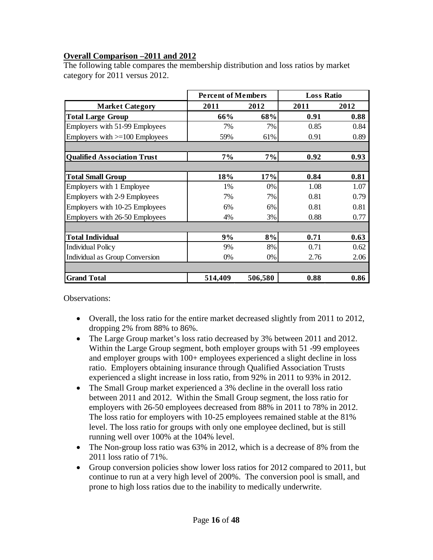# **Overall Comparison –2011 and 2012**

The following table compares the membership distribution and loss ratios by market category for 2011 versus 2012.

|                                     | <b>Percent of Members</b> |         | <b>Loss Ratio</b> |      |
|-------------------------------------|---------------------------|---------|-------------------|------|
| <b>Market Category</b>              | 2011                      | 2012    | 2011              | 2012 |
| <b>Total Large Group</b>            | 66%                       | 68%     | 0.91              | 0.88 |
| Employers with 51-99 Employees      | 7%                        | 7%      | 0.85              | 0.84 |
| Employers with $>=100$ Employees    | 59%                       | 61%     | 0.91              | 0.89 |
|                                     |                           |         |                   |      |
| <b>Qualified Association Trust</b>  | 7%                        | 7%      | 0.92              | 0.93 |
|                                     |                           |         |                   |      |
| <b>Total Small Group</b>            | 18%                       | 17%     | 0.84              | 0.81 |
| Employers with 1 Employee           | 1%                        | 0%      | 1.08              | 1.07 |
| <b>Employers with 2-9 Employees</b> | 7%                        | 7%      | 0.81              | 0.79 |
| Employers with 10-25 Employees      | 6%                        | 6%      | 0.81              | 0.81 |
| Employers with 26-50 Employees      | 4%                        | 3%      | 0.88              | 0.77 |
|                                     |                           |         |                   |      |
| <b>Total Individual</b>             | 9%                        | 8%      | 0.71              | 0.63 |
| <b>Individual Policy</b>            | 9%                        | 8%      | 0.71              | 0.62 |
| Individual as Group Conversion      | $0\%$                     | 0%      | 2.76              | 2.06 |
|                                     |                           |         |                   |      |
| <b>Grand Total</b>                  | 514,409                   | 506,580 | 0.88              | 0.86 |

Observations:

- Overall, the loss ratio for the entire market decreased slightly from 2011 to 2012, dropping 2% from 88% to 86%.
- The Large Group market's loss ratio decreased by 3% between 2011 and 2012. Within the Large Group segment, both employer groups with 51 -99 employees and employer groups with 100+ employees experienced a slight decline in loss ratio. Employers obtaining insurance through Qualified Association Trusts experienced a slight increase in loss ratio, from 92% in 2011 to 93% in 2012.
- The Small Group market experienced a 3% decline in the overall loss ratio between 2011 and 2012. Within the Small Group segment, the loss ratio for employers with 26-50 employees decreased from 88% in 2011 to 78% in 2012. The loss ratio for employers with 10-25 employees remained stable at the 81% level. The loss ratio for groups with only one employee declined, but is still running well over 100% at the 104% level.
- The Non-group loss ratio was 63% in 2012, which is a decrease of 8% from the 2011 loss ratio of 71%.
- Group conversion policies show lower loss ratios for 2012 compared to 2011, but continue to run at a very high level of 200%. The conversion pool is small, and prone to high loss ratios due to the inability to medically underwrite.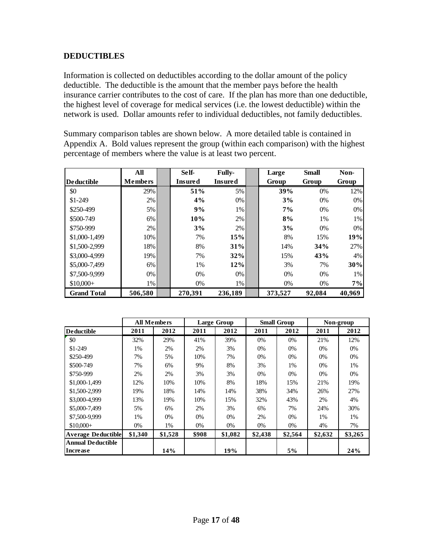# **DEDUCTIBLES**

Information is collected on deductibles according to the dollar amount of the policy deductible. The deductible is the amount that the member pays before the health insurance carrier contributes to the cost of care. If the plan has more than one deductible, the highest level of coverage for medical services (i.e. the lowest deductible) within the network is used. Dollar amounts refer to individual deductibles, not family deductibles.

Summary comparison tables are shown below. A more detailed table is contained in Appendix A. Bold values represent the group (within each comparison) with the highest percentage of members where the value is at least two percent.

|                    | All            | Self-          | <b>Fully-</b>  | Large   | <b>Small</b> | Non-   |
|--------------------|----------------|----------------|----------------|---------|--------------|--------|
| <b>Deductible</b>  | <b>Members</b> | <b>Insured</b> | <b>Insured</b> | Group   | Group        | Group  |
| \$0                | 29%            | 51%            | 5%             | 39%     | 0%           | 12%    |
| $$1-249$           | 2%             | 4%             | 0%             | 3%      | 0%           | 0%     |
| \$250-499          | $5\%$          | 9%             | 1%             | $7\%$   | 0%           | 0%     |
| \$500-749          | 6%             | 10%            | 2%             | 8%      | 1%           | 1%     |
| \$750-999          | 2%             | 3%             | 2%             | 3%      | 0%           | 0%     |
| \$1,000-1,499      | 10%            | 7%             | 15%            | 8%      | 15%          | 19%    |
| \$1,500-2,999      | 18%            | 8%             | 31%            | 14%     | 34%          | 27%    |
| \$3,000-4.999      | 19%            | 7%             | 32%            | 15%     | 43%          | 4%     |
| \$5,000-7,499      | 6%             | 1%             | 12%            | 3%      | 7%           | 30%    |
| \$7,500-9,999      | $0\%$          | $0\%$          | $0\%$          | 0%      | $0\%$        | 1%     |
| $$10,000+$         | $1\%$          | 0%             | 1%             | 0%      | $0\%$        | 7%     |
| <b>Grand Total</b> | 506.580        | 270.391        | 236.189        | 373,527 | 92,084       | 40,969 |

|                           |         | <b>All Members</b> |       | Large Group | <b>Small Group</b> |         |         | Non-group |
|---------------------------|---------|--------------------|-------|-------------|--------------------|---------|---------|-----------|
| <b>Deductible</b>         | 2011    | 2012               | 2011  | 2012        | 2011               | 2012    | 2011    | 2012      |
| \$0                       | 32%     | 29%                | 41%   | 39%         | 0%                 | 0%      | 21%     | 12%       |
| $$1-249$                  | $1\%$   | 2%                 | 2%    | 3%          | $0\%$              | 0%      | $0\%$   | 0%        |
| \$250-499                 | 7%      | 5%                 | 10%   | 7%          | $0\%$              | 0%      | $0\%$   | 0%        |
| \$500-749                 | 7%      | 6%                 | 9%    | 8%          | 3%                 | 1%      | 0%      | 1%        |
| \$750-999                 | 2%      | 2%                 | 3%    | 3%          | $0\%$              | 0%      | $0\%$   | 0%        |
| \$1,000-1,499             | 12%     | 10%                | 10%   | 8%          | 18%                | 15%     | 21%     | 19%       |
| \$1,500-2,999             | 19%     | 18%                | 14%   | 14%         | 38%                | 34%     | 26%     | 27%       |
| \$3,000-4.999             | 13%     | 19%                | 10%   | 15%         | 32%                | 43%     | 2%      | 4%        |
| \$5,000-7,499             | 5%      | 6%                 | 2%    | 3%          | 6%                 | 7%      | 24%     | 30%       |
| \$7,500-9,999             | 1%      | $0\%$              | 0%    | 0%          | 2%                 | 0%      | 1%      | $1\%$     |
| $$10,000+$                | $0\%$   | $1\%$              | 0%    | $0\%$       | $0\%$              | 0%      | 4%      | 7%        |
| <b>Average Deductible</b> | \$1,340 | \$1,528            | \$908 | \$1,082     | \$2,438            | \$2,564 | \$2,632 | \$3,265   |
| <b>Annual Deductible</b>  |         |                    |       |             |                    |         |         |           |
| Increase                  |         | 14%                |       | 19%         |                    | 5%      |         | 24%       |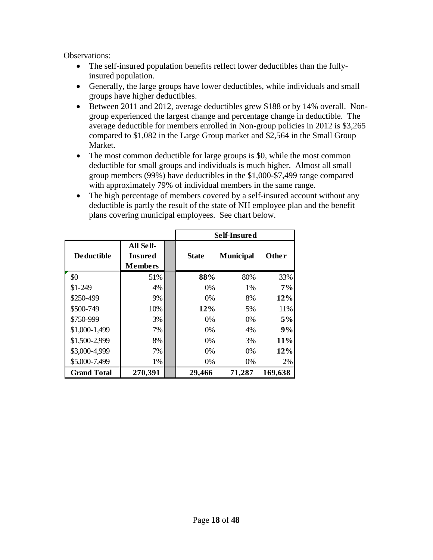Observations:

- The self-insured population benefits reflect lower deductibles than the fullyinsured population.
- Generally, the large groups have lower deductibles, while individuals and small groups have higher deductibles.
- Between 2011 and 2012, average deductibles grew \$188 or by 14% overall. Nongroup experienced the largest change and percentage change in deductible. The average deductible for members enrolled in Non-group policies in 2012 is \$3,265 compared to \$1,082 in the Large Group market and \$2,564 in the Small Group Market.
- The most common deductible for large groups is \$0, while the most common deductible for small groups and individuals is much higher. Almost all small group members (99%) have deductibles in the \$1,000-\$7,499 range compared with approximately 79% of individual members in the same range.
- The high percentage of members covered by a self-insured account without any deductible is partly the result of the state of NH employee plan and the benefit plans covering municipal employees. See chart below.

|                    |                                                      | Self-Insured |                  |         |  |  |  |  |  |
|--------------------|------------------------------------------------------|--------------|------------------|---------|--|--|--|--|--|
| <b>Deductible</b>  | <b>All Self-</b><br><b>Insured</b><br><b>Members</b> | <b>State</b> | <b>Municipal</b> | Other   |  |  |  |  |  |
| \$0                | 51%                                                  | 88%          | 80%              | 33%     |  |  |  |  |  |
| $$1-249$           | 4%                                                   | $0\%$        | 1%               | 7%      |  |  |  |  |  |
| \$250-499          | 9%                                                   | $0\%$        | 8%               | 12%     |  |  |  |  |  |
| \$500-749          | 10%                                                  | 12%          | 5%               | 11%     |  |  |  |  |  |
| \$750-999          | 3%                                                   | 0%           | $0\%$            | 5%      |  |  |  |  |  |
| \$1,000-1,499      | 7%                                                   | 0%           | 4%               | 9%      |  |  |  |  |  |
| \$1,500-2,999      | 8%                                                   | $0\%$        | 3%               | 11%     |  |  |  |  |  |
| \$3,000-4,999      | 7%                                                   | $0\%$        | $0\%$            | 12%     |  |  |  |  |  |
| \$5,000-7,499      | 1%                                                   | 0%           | 0%               | 2%      |  |  |  |  |  |
| <b>Grand Total</b> | 270,391                                              | 29,466       | 71,287           | 169,638 |  |  |  |  |  |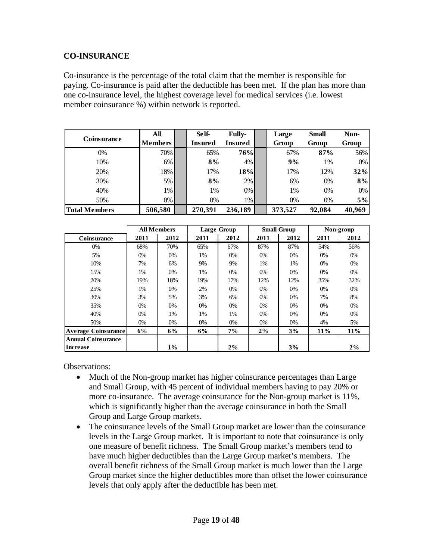## **CO-INSURANCE**

Co-insurance is the percentage of the total claim that the member is responsible for paying. Co-insurance is paid after the deductible has been met. If the plan has more than one co-insurance level, the highest coverage level for medical services (i.e. lowest member coinsurance %) within network is reported.

|                    | All            |                           | Self-   | <b>Fully-</b> | Large   | <b>Small</b> | Non-   |
|--------------------|----------------|---------------------------|---------|---------------|---------|--------------|--------|
| <b>Coinsurance</b> | <b>Members</b> | Insured<br><b>Insured</b> |         |               | Group   | Group        | Group  |
| 0%                 | 70%            |                           | 65%     | 76%           | 67%     | 87%          | 56%    |
| 10%                | 6%             |                           | 8%      | 4%            | 9%      | 1%           | $0\%$  |
| 20%                | 18%            |                           | 17%     | 18%           | 17%     | 12%          | 32%    |
| 30%                | 5%             |                           | 8%      | 2%            | 6%      | 0%           | 8%     |
| 40%                | $1\%$          |                           | 1%      | 0%            | 1%      | 0%           | $0\%$  |
| 50%                | $0\%$          |                           | 0%      | 1%            | 0%      | $0\%$        | 5%     |
| Total Members      | 506,580        |                           | 270,391 | 236,189       | 373,527 | 92,084       | 40,969 |

|                            |       | <b>All Members</b> |       | <b>Large Group</b> | <b>Small Group</b> |       |       | Non-group |
|----------------------------|-------|--------------------|-------|--------------------|--------------------|-------|-------|-----------|
| Coinsurance                | 2011  | 2012               | 2011  | 2012               | 2011               | 2012  | 2011  | 2012      |
| 0%                         | 68%   | 70%                | 65%   | 67%                | 87%                | 87%   | 54%   | 56%       |
| 5%                         | $0\%$ | 0%                 | 1%    | 0%                 | 0%                 | 0%    | 0%    | 0%        |
| 10%                        | 7%    | 6%                 | 9%    | 9%                 | 1%                 | 1%    | 0%    | 0%        |
| 15%                        | 1%    | $0\%$              | 1%    | $0\%$              | 0%                 | $0\%$ | 0%    | 0%        |
| 20%                        | 19%   | 18%                | 19%   | 17%                | 12%                | 12%   | 35%   | 32%       |
| 25%                        | 1%    | 0%                 | 2%    | $0\%$              | $0\%$              | $0\%$ | $0\%$ | 0%        |
| 30%                        | 3%    | 5%                 | 3%    | 6%                 | 0%                 | $0\%$ | 7%    | 8%        |
| 35%                        | $0\%$ | 0%                 | 0%    | $0\%$              | 0%                 | $0\%$ | 0%    | 0%        |
| 40%                        | 0%    | 1%                 | 1%    | 1%                 | 0%                 | 0%    | 0%    | 0%        |
| 50%                        | $0\%$ | 0%                 | $0\%$ | $0\%$              | $0\%$              | $0\%$ | 4%    | 5%        |
| <b>Average Coinsurance</b> | 6%    | 6%                 | 6%    | 7%                 | $2\%$              | 3%    | 11%   | 11%       |
| <b>Annual Coinsurance</b>  |       |                    |       |                    |                    |       |       |           |
| Increase                   |       | $1\%$              |       | 2%                 |                    | 3%    |       | 2%        |

Observations:

- Much of the Non-group market has higher coinsurance percentages than Large and Small Group, with 45 percent of individual members having to pay 20% or more co-insurance. The average coinsurance for the Non-group market is 11%, which is significantly higher than the average coinsurance in both the Small Group and Large Group markets.
- The coinsurance levels of the Small Group market are lower than the coinsurance levels in the Large Group market. It is important to note that coinsurance is only one measure of benefit richness. The Small Group market's members tend to have much higher deductibles than the Large Group market's members. The overall benefit richness of the Small Group market is much lower than the Large Group market since the higher deductibles more than offset the lower coinsurance levels that only apply after the deductible has been met.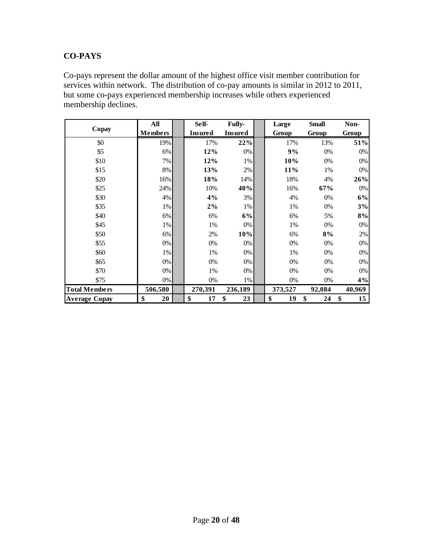# **CO-PAYS**

Co-pays represent the dollar amount of the highest office visit member contribution for services within network. The distribution of co-pay amounts is similar in 2012 to 2011, but some co-pays experienced membership increases while others experienced membership declines.

|                      | All            | Self-          | Fully-         | Large    | <b>Small</b> | Non-     |
|----------------------|----------------|----------------|----------------|----------|--------------|----------|
| Copay                | <b>Members</b> | <b>Insured</b> | <b>Insured</b> | Group    | Group        | Group    |
| \$0                  | 19%            | 17%            | 22%            | 17%      | 13%          | 51%      |
| \$5                  | 6%             | 12%            | 0%             | 9%       | 0%           | $0\%$    |
| \$10                 | 7%             | 12%            | 1%             | 10%      | 0%           | $0\%$    |
| \$15                 | 8%             | 13%            | 2%             | 11%      | 1%           | $0\%$    |
| \$20                 | 16%            | 18%            | 14%            | 18%      | 4%           | 26%      |
| \$25                 | 24%            | 10%            | 40%            | 16%      | 67%          | $0\%$    |
| \$30                 | 4%             | 4%             | 3%             | 4%       | 0%           | 6%       |
| \$35                 | 1%             | $2\%$          | 1%             | 1%       | 0%           | 3%       |
| \$40                 | 6%             | 6%             | 6%             | 6%       | 5%           | 8%       |
| \$45                 | 1%             | 1%             | 0%             | 1%       | $0\%$        | $0\%$    |
| \$50                 | 6%             | 2%             | 10%            | 6%       | 8%           | $2\%$    |
| \$55                 | 0%             | 0%             | 0%             | 0%       | $0\%$        | $0\%$    |
| \$60                 | 1%             | 1%             | 0%             | 1%       | 0%           | 0%       |
| \$65                 | 0%             | 0%             | 0%             | 0%       | 0%           | 0%       |
| \$70                 | 0%             | 1%             | 0%             | 0%       | 0%           | 0%       |
| \$75                 | 0%             | 0%             | 1%             | 0%       | 0%           | 4%       |
| <b>Total Members</b> | 506,580        | 270,391        | 236,189        | 373,527  | 92,084       | 40,969   |
| <b>Average Copay</b> | \$<br>20       | \$<br>17       | \$<br>23       | \$<br>19 | \$<br>24     | \$<br>15 |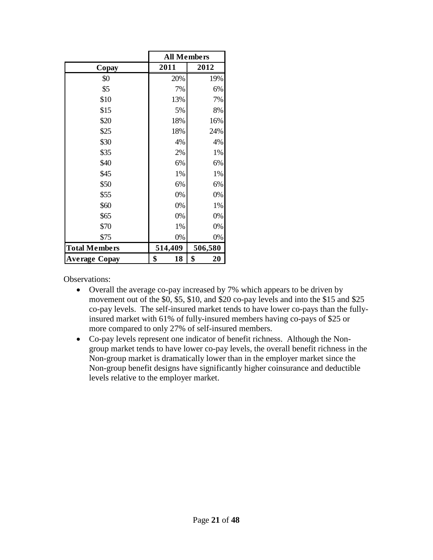|                      | <b>All Members</b> |          |
|----------------------|--------------------|----------|
| Copay                | 2011               | 2012     |
| \$0                  | 20%                | 19%      |
| \$5                  | 7%                 | 6%       |
| \$10                 | 13%                | 7%       |
| \$15                 | 5%                 | 8%       |
| \$20                 | 18%                | 16%      |
| \$25                 | 18%                | 24%      |
| \$30                 | 4%                 | 4%       |
| \$35                 | 2%                 | 1%       |
| \$40                 | 6%                 | 6%       |
| \$45                 | 1%                 | 1%       |
| \$50                 | 6%                 | 6%       |
| \$55                 | 0%                 | 0%       |
| \$60                 | 0%                 | 1%       |
| \$65                 | 0%                 | 0%       |
| \$70                 | 1%                 | 0%       |
| \$75                 | 0%                 | 0%       |
| <b>Total Members</b> | 514,409            | 506,580  |
| Average Copay        | \$<br>18           | \$<br>20 |

Observations:

- Overall the average co-pay increased by 7% which appears to be driven by movement out of the \$0, \$5, \$10, and \$20 co-pay levels and into the \$15 and \$25 co-pay levels. The self-insured market tends to have lower co-pays than the fullyinsured market with 61% of fully-insured members having co-pays of \$25 or more compared to only 27% of self-insured members.
- Co-pay levels represent one indicator of benefit richness. Although the Nongroup market tends to have lower co-pay levels, the overall benefit richness in the Non-group market is dramatically lower than in the employer market since the Non-group benefit designs have significantly higher coinsurance and deductible levels relative to the employer market.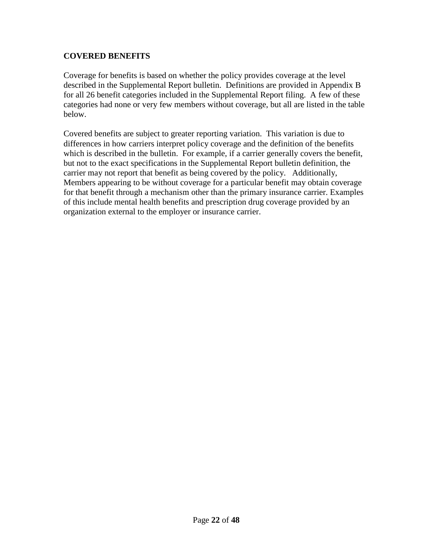# **COVERED BENEFITS**

Coverage for benefits is based on whether the policy provides coverage at the level described in the Supplemental Report bulletin. Definitions are provided in Appendix B for all 26 benefit categories included in the Supplemental Report filing. A few of these categories had none or very few members without coverage, but all are listed in the table below.

Covered benefits are subject to greater reporting variation. This variation is due to differences in how carriers interpret policy coverage and the definition of the benefits which is described in the bulletin. For example, if a carrier generally covers the benefit, but not to the exact specifications in the Supplemental Report bulletin definition, the carrier may not report that benefit as being covered by the policy. Additionally, Members appearing to be without coverage for a particular benefit may obtain coverage for that benefit through a mechanism other than the primary insurance carrier. Examples of this include mental health benefits and prescription drug coverage provided by an organization external to the employer or insurance carrier.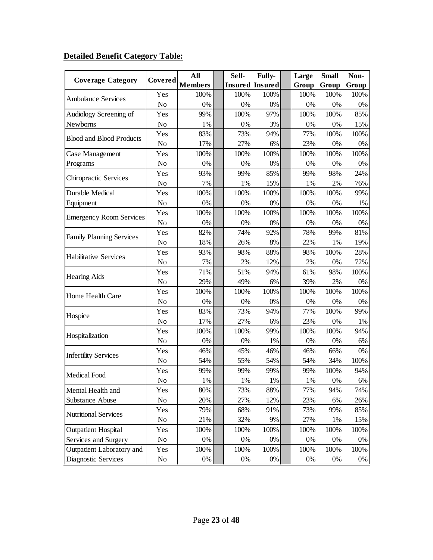# **Detailed Benefit Category Table:**

| <b>Coverage Category</b>        | Covered        | All            | Self- | <b>Fully-</b>          | Large | <b>Small</b> | Non-  |
|---------------------------------|----------------|----------------|-------|------------------------|-------|--------------|-------|
|                                 |                | <b>Members</b> |       | <b>Insured Insured</b> | Group | Group        | Group |
| <b>Ambulance Services</b>       | Yes            | 100%           | 100%  | 100%                   | 100%  | 100%         | 100%  |
|                                 | N <sub>o</sub> | 0%             | 0%    | $0\%$                  | 0%    | 0%           | 0%    |
| Audiology Screening of          | Yes            | 99%            | 100%  | 97%                    | 100%  | 100%         | 85%   |
| Newborns                        | N <sub>o</sub> | 1%             | 0%    | 3%                     | 0%    | 0%           | 15%   |
| <b>Blood and Blood Products</b> | Yes            | 83%            | 73%   | 94%                    | 77%   | 100%         | 100%  |
|                                 | N <sub>o</sub> | 17%            | 27%   | 6%                     | 23%   | 0%           | $0\%$ |
| Case Management                 | Yes            | 100%           | 100%  | 100%                   | 100%  | 100%         | 100%  |
| Programs                        | N <sub>o</sub> | 0%             | 0%    | 0%                     | 0%    | 0%           | 0%    |
| <b>Chiropractic Services</b>    | Yes            | 93%            | 99%   | 85%                    | 99%   | 98%          | 24%   |
|                                 | N <sub>o</sub> | 7%             | 1%    | 15%                    | 1%    | 2%           | 76%   |
| Durable Medical                 | Yes            | 100%           | 100%  | 100%                   | 100%  | 100%         | 99%   |
| Equipment                       | N <sub>o</sub> | 0%             | 0%    | 0%                     | 0%    | 0%           | 1%    |
| <b>Emergency Room Services</b>  | Yes            | 100%           | 100%  | 100%                   | 100%  | 100%         | 100%  |
|                                 | N <sub>o</sub> | 0%             | 0%    | 0%                     | 0%    | 0%           | 0%    |
| <b>Family Planning Services</b> | Yes            | 82%            | 74%   | 92%                    | 78%   | 99%          | 81%   |
|                                 | N <sub>o</sub> | 18%            | 26%   | 8%                     | 22%   | 1%           | 19%   |
| <b>Habilitative Services</b>    | Yes            | 93%            | 98%   | 88%                    | 98%   | 100%         | 28%   |
|                                 | N <sub>o</sub> | 7%             | 2%    | 12%                    | 2%    | 0%           | 72%   |
|                                 | Yes            | 71%            | 51%   | 94%                    | 61%   | 98%          | 100%  |
| <b>Hearing Aids</b>             | N <sub>o</sub> | 29%            | 49%   | 6%                     | 39%   | 2%           | $0\%$ |
| Home Health Care                | Yes            | 100%           | 100%  | 100%                   | 100%  | 100%         | 100%  |
|                                 | N <sub>o</sub> | 0%             | 0%    | 0%                     | 0%    | $0\%$        | 0%    |
|                                 | Yes            | 83%            | 73%   | 94%                    | 77%   | 100%         | 99%   |
| Hospice                         | N <sub>o</sub> | 17%            | 27%   | 6%                     | 23%   | 0%           | 1%    |
|                                 | Yes            | 100%           | 100%  | 99%                    | 100%  | 100%         | 94%   |
| Hospitalization                 | N <sub>o</sub> | 0%             | 0%    | 1%                     | 0%    | 0%           | 6%    |
| <b>Infertility Services</b>     | Yes            | 46%            | 45%   | 46%                    | 46%   | 66%          | 0%    |
|                                 | N <sub>o</sub> | 54%            | 55%   | 54%                    | 54%   | 34%          | 100%  |
| Medical Food                    | Yes            | 99%            | 99%   | 99%                    | 99%   | 100%         | 94%   |
|                                 | No             | 1%             | 1%    | 1%                     | 1%    | 0%           | 6%    |
| Mental Health and               | Yes            | 80%            | 73%   | 88%                    | 77%   | 94%          | 74%   |
| Substance Abuse                 | N <sub>o</sub> | 20%            | 27%   | 12%                    | 23%   | 6%           | 26%   |
|                                 | Yes            | 79%            | 68%   | 91%                    | 73%   | 99%          | 85%   |
| <b>Nutritional Services</b>     | No             | 21%            | 32%   | 9%                     | 27%   | 1%           | 15%   |
| <b>Outpatient Hospital</b>      | Yes            | 100%           | 100%  | 100%                   | 100%  | 100%         | 100%  |
| Services and Surgery            | No             | 0%             | 0%    | 0%                     | $0\%$ | $0\%$        | 0%    |
| Outpatient Laboratory and       | Yes            | 100%           | 100%  | 100%                   | 100%  | 100%         | 100%  |
| Diagnostic Services             | No             | 0%             | $0\%$ | $0\%$                  | $0\%$ | 0%           | $0\%$ |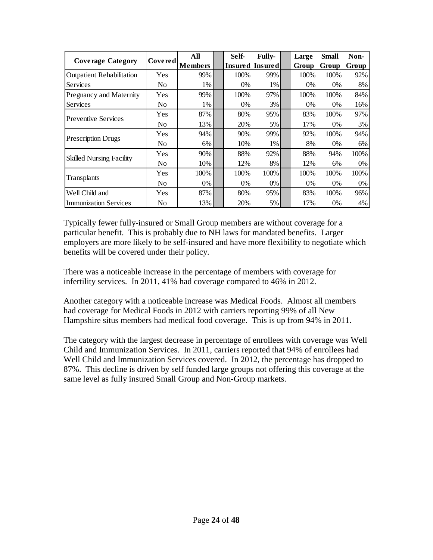| <b>Coverage Category</b>         | <b>Covered</b> | All            | Self- | <b>Fully-</b>   | Large | <b>Small</b> | Non-  |
|----------------------------------|----------------|----------------|-------|-----------------|-------|--------------|-------|
|                                  |                | <b>Members</b> |       | Insured Insured | Group | Group        | Group |
| <b>Outpatient Rehabilitation</b> | Yes            | 99%            | 100%  | 99%             | 100%  | 100%         | 92%   |
| Services                         | No             | 1%             | $0\%$ | 1%              | $0\%$ | $0\%$        | 8%    |
| Pregnancy and Maternity          | Yes            | 99%            | 100%  | 97%             | 100%  | 100%         | 84%   |
| Services                         | No             | 1%             | 0%    | $3\%$           | 0%    | $0\%$        | 16%   |
| <b>Preventive Services</b>       | Yes            | 87%            | 80%   | 95%             | 83%   | 100%         | 97%   |
|                                  | N <sub>0</sub> | 13%            | 20%   | $5\%$           | 17%   | $0\%$        | 3%    |
| <b>Prescription Drugs</b>        | Yes            | 94%            | 90%   | 99%             | 92%   | 100%         | 94%   |
|                                  | No             | 6%             | 10%   | 1%              | 8%    | $0\%$        | 6%    |
| <b>Skilled Nursing Facility</b>  | Yes            | 90%            | 88%   | 92%             | 88%   | 94%          | 100%  |
|                                  | No             | 10%            | 12%   | 8%              | 12%   | 6%           | 0%    |
|                                  | Yes            | 100\%          | 100%  | 100%            | 100\% | 100%         | 100\% |
| Transplants                      | N <sub>0</sub> | 0%             | 0%    | 0%              | 0%    | $0\%$        | 0%    |
| Well Child and                   | Yes            | 87%            | 80%   | 95%             | 83%   | 100%         | 96%   |
| <b>Immunization Services</b>     | No             | 13%            | 20%   | $5\%$           | 17%   | 0%           | 4%    |

Typically fewer fully-insured or Small Group members are without coverage for a particular benefit. This is probably due to NH laws for mandated benefits. Larger employers are more likely to be self-insured and have more flexibility to negotiate which benefits will be covered under their policy.

There was a noticeable increase in the percentage of members with coverage for infertility services. In 2011, 41% had coverage compared to 46% in 2012.

Another category with a noticeable increase was Medical Foods. Almost all members had coverage for Medical Foods in 2012 with carriers reporting 99% of all New Hampshire situs members had medical food coverage. This is up from 94% in 2011.

The category with the largest decrease in percentage of enrollees with coverage was Well Child and Immunization Services. In 2011, carriers reported that 94% of enrollees had Well Child and Immunization Services covered. In 2012, the percentage has dropped to 87%. This decline is driven by self funded large groups not offering this coverage at the same level as fully insured Small Group and Non-Group markets.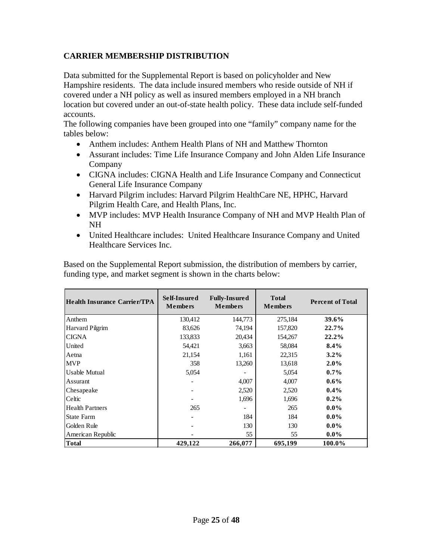# **CARRIER MEMBERSHIP DISTRIBUTION**

Data submitted for the Supplemental Report is based on policyholder and New Hampshire residents. The data include insured members who reside outside of NH if covered under a NH policy as well as insured members employed in a NH branch location but covered under an out-of-state health policy. These data include self-funded accounts.

The following companies have been grouped into one "family" company name for the tables below:

- Anthem includes: Anthem Health Plans of NH and Matthew Thornton
- Assurant includes: Time Life Insurance Company and John Alden Life Insurance Company
- CIGNA includes: CIGNA Health and Life Insurance Company and Connecticut General Life Insurance Company
- Harvard Pilgrim includes: Harvard Pilgrim HealthCare NE, HPHC, Harvard Pilgrim Health Care, and Health Plans, Inc.
- MVP includes: MVP Health Insurance Company of NH and MVP Health Plan of NH
- United Healthcare includes: United Healthcare Insurance Company and United Healthcare Services Inc.

Based on the Supplemental Report submission, the distribution of members by carrier, funding type, and market segment is shown in the charts below:

| Health Insurance Carrier/TPA | Self-Insured<br><b>Members</b> | <b>Fully-Insured</b><br><b>Members</b> | <b>Total</b><br><b>Members</b> | <b>Percent of Total</b> |
|------------------------------|--------------------------------|----------------------------------------|--------------------------------|-------------------------|
| Anthem                       | 130,412                        | 144,773                                | 275,184                        | 39.6%                   |
| <b>Harvard Pilgrim</b>       | 83,626                         | 74,194                                 | 157,820                        | $22.7\%$                |
| <b>CIGNA</b>                 | 133,833                        | 20,434                                 | 154,267                        | 22.2%                   |
| United                       | 54,421                         | 3,663                                  | 58,084                         | $8.4\%$                 |
| Aetna                        | 21,154                         | 1,161                                  | 22,315                         | $3.2\%$                 |
| <b>MVP</b>                   | 358                            | 13,260                                 | 13,618                         | $2.0\%$                 |
| <b>Usable Mutual</b>         | 5,054                          |                                        | 5,054                          | $0.7\%$                 |
| Assurant                     |                                | 4,007                                  | 4,007                          | $0.6\%$                 |
| Chesapeake                   |                                | 2,520                                  | 2,520                          | $0.4\%$                 |
| Celtic                       |                                | 1,696                                  | 1,696                          | $0.2\%$                 |
| <b>Health Partners</b>       | 265                            |                                        | 265                            | $0.0\%$                 |
| <b>State Farm</b>            |                                | 184                                    | 184                            | $0.0\%$                 |
| Golden Rule                  |                                | 130                                    | 130                            | $0.0\%$                 |
| American Republic            |                                | 55                                     | 55                             | $0.0\%$                 |
| Total                        | 429,122                        | 266,077                                | 695,199                        | 100.0%                  |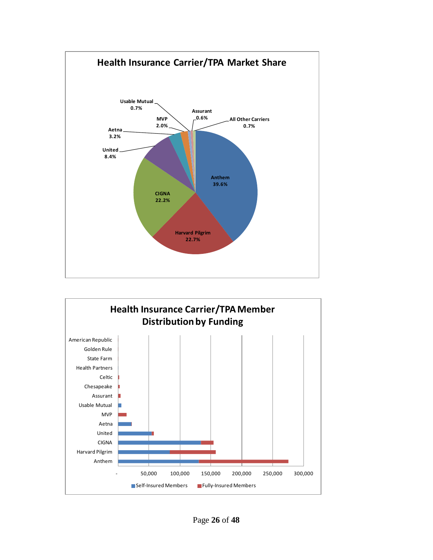

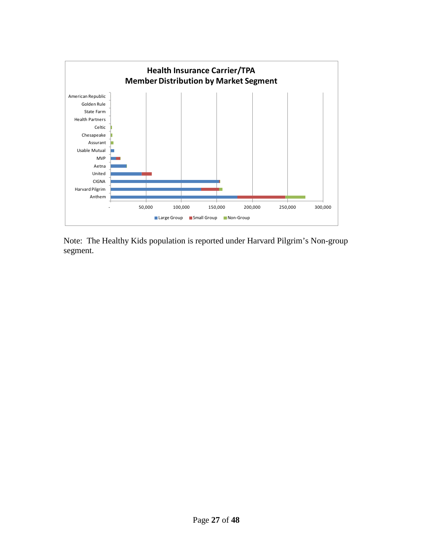

Note: The Healthy Kids population is reported under Harvard Pilgrim's Non-group segment.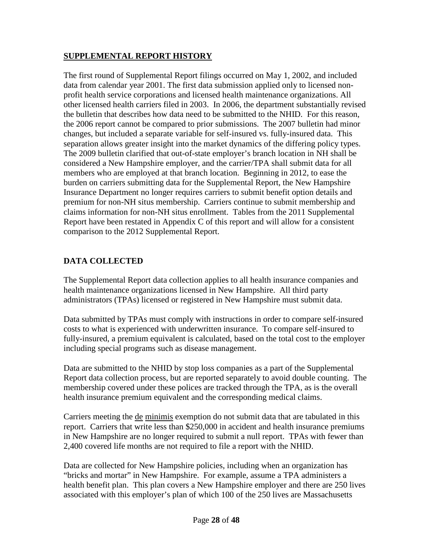# **SUPPLEMENTAL REPORT HISTORY**

The first round of Supplemental Report filings occurred on May 1, 2002, and included data from calendar year 2001. The first data submission applied only to licensed nonprofit health service corporations and licensed health maintenance organizations. All other licensed health carriers filed in 2003. In 2006, the department substantially revised the bulletin that describes how data need to be submitted to the NHID. For this reason, the 2006 report cannot be compared to prior submissions. The 2007 bulletin had minor changes, but included a separate variable for self-insured vs. fully-insured data. This separation allows greater insight into the market dynamics of the differing policy types. The 2009 bulletin clarified that out-of-state employer's branch location in NH shall be considered a New Hampshire employer, and the carrier/TPA shall submit data for all members who are employed at that branch location. Beginning in 2012, to ease the burden on carriers submitting data for the Supplemental Report, the New Hampshire Insurance Department no longer requires carriers to submit benefit option details and premium for non-NH situs membership. Carriers continue to submit membership and claims information for non-NH situs enrollment. Tables from the 2011 Supplemental Report have been restated in Appendix C of this report and will allow for a consistent comparison to the 2012 Supplemental Report.

# **DATA COLLECTED**

The Supplemental Report data collection applies to all health insurance companies and health maintenance organizations licensed in New Hampshire. All third party administrators (TPAs) licensed or registered in New Hampshire must submit data.

Data submitted by TPAs must comply with instructions in order to compare self-insured costs to what is experienced with underwritten insurance. To compare self-insured to fully-insured, a premium equivalent is calculated, based on the total cost to the employer including special programs such as disease management.

Data are submitted to the NHID by stop loss companies as a part of the Supplemental Report data collection process, but are reported separately to avoid double counting. The membership covered under these polices are tracked through the TPA, as is the overall health insurance premium equivalent and the corresponding medical claims.

Carriers meeting the de minimis exemption do not submit data that are tabulated in this report. Carriers that write less than \$250,000 in accident and health insurance premiums in New Hampshire are no longer required to submit a null report. TPAs with fewer than 2,400 covered life months are not required to file a report with the NHID.

Data are collected for New Hampshire policies, including when an organization has "bricks and mortar" in New Hampshire. For example, assume a TPA administers a health benefit plan. This plan covers a New Hampshire employer and there are 250 lives associated with this employer's plan of which 100 of the 250 lives are Massachusetts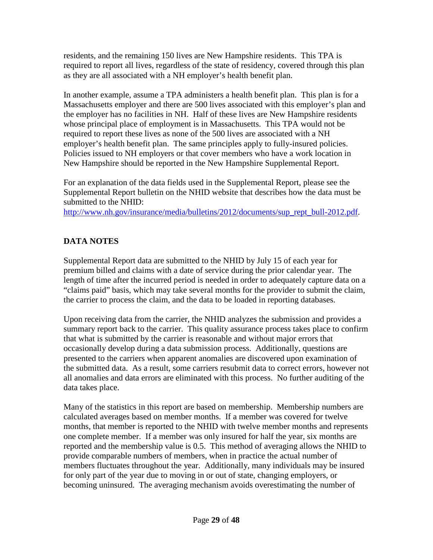residents, and the remaining 150 lives are New Hampshire residents. This TPA is required to report all lives, regardless of the state of residency, covered through this plan as they are all associated with a NH employer's health benefit plan.

In another example, assume a TPA administers a health benefit plan. This plan is for a Massachusetts employer and there are 500 lives associated with this employer's plan and the employer has no facilities in NH. Half of these lives are New Hampshire residents whose principal place of employment is in Massachusetts. This TPA would not be required to report these lives as none of the 500 lives are associated with a NH employer's health benefit plan. The same principles apply to fully-insured policies. Policies issued to NH employers or that cover members who have a work location in New Hampshire should be reported in the New Hampshire Supplemental Report.

For an explanation of the data fields used in the Supplemental Report, please see the Supplemental Report bulletin on the NHID website that describes how the data must be submitted to the NHID:

[http://www.nh.gov/insurance/media/bulletins/2012/documents/sup\\_rept\\_bull-2012.pdf.](http://www.nh.gov/insurance/media/bulletins/2012/documents/sup_rept_bull-2012.pdf)

# **DATA NOTES**

Supplemental Report data are submitted to the NHID by July 15 of each year for premium billed and claims with a date of service during the prior calendar year. The length of time after the incurred period is needed in order to adequately capture data on a "claims paid" basis, which may take several months for the provider to submit the claim, the carrier to process the claim, and the data to be loaded in reporting databases.

Upon receiving data from the carrier, the NHID analyzes the submission and provides a summary report back to the carrier. This quality assurance process takes place to confirm that what is submitted by the carrier is reasonable and without major errors that occasionally develop during a data submission process. Additionally, questions are presented to the carriers when apparent anomalies are discovered upon examination of the submitted data. As a result, some carriers resubmit data to correct errors, however not all anomalies and data errors are eliminated with this process. No further auditing of the data takes place.

Many of the statistics in this report are based on membership. Membership numbers are calculated averages based on member months. If a member was covered for twelve months, that member is reported to the NHID with twelve member months and represents one complete member. If a member was only insured for half the year, six months are reported and the membership value is 0.5. This method of averaging allows the NHID to provide comparable numbers of members, when in practice the actual number of members fluctuates throughout the year. Additionally, many individuals may be insured for only part of the year due to moving in or out of state, changing employers, or becoming uninsured. The averaging mechanism avoids overestimating the number of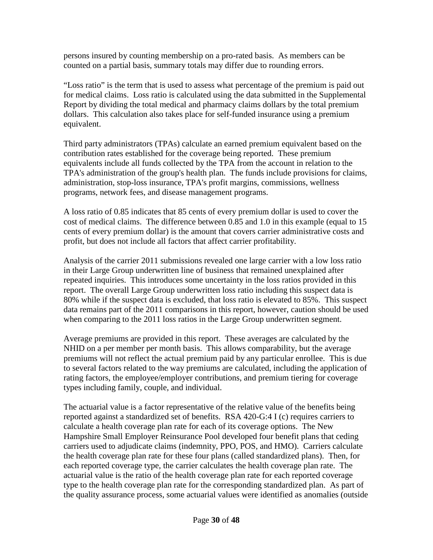persons insured by counting membership on a pro-rated basis. As members can be counted on a partial basis, summary totals may differ due to rounding errors.

"Loss ratio" is the term that is used to assess what percentage of the premium is paid out for medical claims. Loss ratio is calculated using the data submitted in the Supplemental Report by dividing the total medical and pharmacy claims dollars by the total premium dollars. This calculation also takes place for self-funded insurance using a premium equivalent.

Third party administrators (TPAs) calculate an earned premium equivalent based on the contribution rates established for the coverage being reported. These premium equivalents include all funds collected by the TPA from the account in relation to the TPA's administration of the group's health plan. The funds include provisions for claims, administration, stop-loss insurance, TPA's profit margins, commissions, wellness programs, network fees, and disease management programs.

A loss ratio of 0.85 indicates that 85 cents of every premium dollar is used to cover the cost of medical claims. The difference between 0.85 and 1.0 in this example (equal to 15 cents of every premium dollar) is the amount that covers carrier administrative costs and profit, but does not include all factors that affect carrier profitability.

Analysis of the carrier 2011 submissions revealed one large carrier with a low loss ratio in their Large Group underwritten line of business that remained unexplained after repeated inquiries. This introduces some uncertainty in the loss ratios provided in this report. The overall Large Group underwritten loss ratio including this suspect data is 80% while if the suspect data is excluded, that loss ratio is elevated to 85%. This suspect data remains part of the 2011 comparisons in this report, however, caution should be used when comparing to the 2011 loss ratios in the Large Group underwritten segment.

Average premiums are provided in this report. These averages are calculated by the NHID on a per member per month basis. This allows comparability, but the average premiums will not reflect the actual premium paid by any particular enrollee. This is due to several factors related to the way premiums are calculated, including the application of rating factors, the employee/employer contributions, and premium tiering for coverage types including family, couple, and individual.

The actuarial value is a factor representative of the relative value of the benefits being reported against a standardized set of benefits. RSA 420-G:4 I (c) requires carriers to calculate a health coverage plan rate for each of its coverage options. The New Hampshire Small Employer Reinsurance Pool developed four benefit plans that ceding carriers used to adjudicate claims (indemnity, PPO, POS, and HMO). Carriers calculate the health coverage plan rate for these four plans (called standardized plans). Then, for each reported coverage type, the carrier calculates the health coverage plan rate. The actuarial value is the ratio of the health coverage plan rate for each reported coverage type to the health coverage plan rate for the corresponding standardized plan. As part of the quality assurance process, some actuarial values were identified as anomalies (outside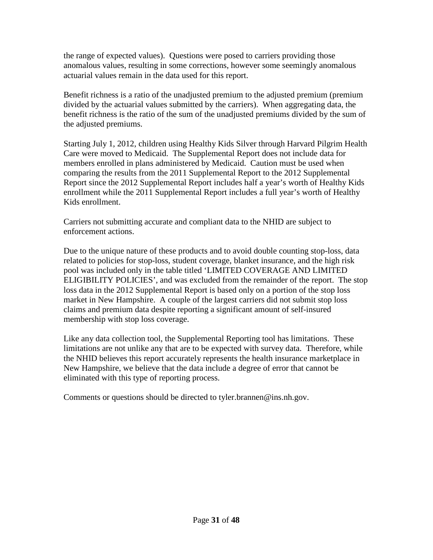the range of expected values). Questions were posed to carriers providing those anomalous values, resulting in some corrections, however some seemingly anomalous actuarial values remain in the data used for this report.

Benefit richness is a ratio of the unadjusted premium to the adjusted premium (premium divided by the actuarial values submitted by the carriers). When aggregating data, the benefit richness is the ratio of the sum of the unadjusted premiums divided by the sum of the adjusted premiums.

Starting July 1, 2012, children using Healthy Kids Silver through Harvard Pilgrim Health Care were moved to Medicaid. The Supplemental Report does not include data for members enrolled in plans administered by Medicaid. Caution must be used when comparing the results from the 2011 Supplemental Report to the 2012 Supplemental Report since the 2012 Supplemental Report includes half a year's worth of Healthy Kids enrollment while the 2011 Supplemental Report includes a full year's worth of Healthy Kids enrollment.

Carriers not submitting accurate and compliant data to the NHID are subject to enforcement actions.

Due to the unique nature of these products and to avoid double counting stop-loss, data related to policies for stop-loss, student coverage, blanket insurance, and the high risk pool was included only in the table titled 'LIMITED COVERAGE AND LIMITED ELIGIBILITY POLICIES', and was excluded from the remainder of the report. The stop loss data in the 2012 Supplemental Report is based only on a portion of the stop loss market in New Hampshire. A couple of the largest carriers did not submit stop loss claims and premium data despite reporting a significant amount of self-insured membership with stop loss coverage.

Like any data collection tool, the Supplemental Reporting tool has limitations. These limitations are not unlike any that are to be expected with survey data. Therefore, while the NHID believes this report accurately represents the health insurance marketplace in New Hampshire, we believe that the data include a degree of error that cannot be eliminated with this type of reporting process.

Comments or questions should be directed to tyler.brannen@ins.nh.gov.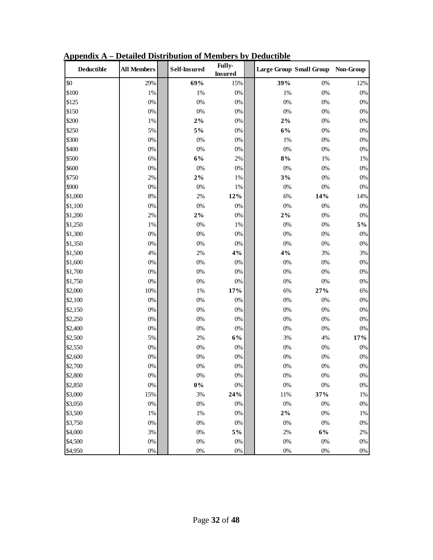| Deductible | <b>All Members</b> | Self-Insured | Fully-<br><b>Insured</b> |       | Large Group Small Group Non-Group |       |
|------------|--------------------|--------------|--------------------------|-------|-----------------------------------|-------|
| \$0        | 29%                | 69%          | 15%                      | 39%   | 0%                                | 12%   |
| \$100      | 1%                 | $1\%$        | 0%                       | 1%    | 0%                                | $0\%$ |
| \$125      | $0\%$              | $0\%$        | $0\%$                    | 0%    | 0%                                | $0\%$ |
| \$150      | $0\%$              | $0\%$        | 0%                       | 0%    | 0%                                | $0\%$ |
| \$200      | 1%                 | $2\%$        | 0%                       | $2\%$ | 0%                                | $0\%$ |
| \$250      | 5%                 | $5\%$        | 0%                       | 6%    | 0%                                | $0\%$ |
| \$300      | $0\%$              | $0\%$        | $0\%$                    | 1%    | 0%                                | $0\%$ |
| \$400      | $0\%$              | $0\%$        | $0\%$                    | 0%    | $0\%$                             | $0\%$ |
| \$500      | 6%                 | $6\%$        | $2\%$                    | $8\%$ | $1\%$                             | $1\%$ |
| \$600      | $0\%$              | $0\%$        | $0\%$                    | 0%    | $0\%$                             | $0\%$ |
| \$750      | $2\%$              | $2\%$        | 1%                       | 3%    | 0%                                | $0\%$ |
| \$900      | $0\%$              | $0\%$        | 1%                       | 0%    | 0%                                | $0\%$ |
| \$1,000    | $8\%$              | $2\%$        | 12%                      | 6%    | 14%                               | 14%   |
| \$1,100    | $0\%$              | $0\%$        | 0%                       | 0%    | $0\%$                             | $0\%$ |
| \$1,200    | 2%                 | $2\%$        | 0%                       | $2\%$ | 0%                                | $0\%$ |
| \$1,250    | $1\%$              | $0\%$        | 1%                       | 0%    | 0%                                | $5\%$ |
| \$1,300    | $0\%$              | $0\%$        | $0\%$                    | 0%    | $0\%$                             | $0\%$ |
| \$1,350    | $0\%$              | $0\%$        | $0\%$                    | 0%    | $0\%$                             | $0\%$ |
| \$1,500    | 4%                 | 2%           | 4%                       | 4%    | 3%                                | 3%    |
| \$1,600    | $0\%$              | $0\%$        | 0%                       | 0%    | 0%                                | $0\%$ |
| \$1,700    | $0\%$              | $0\%$        | $0\%$                    | 0%    | 0%                                | $0\%$ |
| \$1,750    | $0\%$              | $0\%$        | $0\%$                    | 0%    | $0\%$                             | $0\%$ |
| \$2,000    | 10%                | $1\%$        | 17%                      | 6%    | 27%                               | 6%    |
| \$2,100    | 0%                 | $0\%$        | 0%                       | 0%    | 0%                                | $0\%$ |
| \$2,150    | $0\%$              | $0\%$        | 0%                       | 0%    | 0%                                | $0\%$ |
| \$2,250    | $0\%$              | $0\%$        | $0\%$                    | 0%    | $0\%$                             | $0\%$ |
| \$2,400    | $0\%$              | $0\%$        | $0\%$                    | $0\%$ | $0\%$                             | $0\%$ |
| \$2,500    | 5%                 | 2%           | 6%                       | 3%    | $4\%$                             | 17%   |
| \$2,550    | $0\%$              | $0\%$        | 0%                       | 0%    | 0%                                | $0\%$ |
| \$2,600    | $0\%$              | $0\%$        | 0%                       | $0\%$ | $0\%$                             | $0\%$ |
| \$2,700    | $0\%$              | $0\%$        | $0\%$                    | 0%    | 0%                                | 0%    |
| \$2,800    | $0\%$              | $0\%$        | $0\%$                    | $0\%$ | $0\%$                             | $0\%$ |
| \$2,850    | $0\%$              | $0\%$        | $0\%$                    | $0\%$ | $0\%$                             | $0\%$ |
| \$3,000    | 15%                | $3\%$        | 24%                      | 11%   | 37%                               | $1\%$ |
| \$3,050    | $0\%$              | $0\%$        | $0\%$                    | $0\%$ | $0\%$                             | $0\%$ |
| \$3,500    | $1\%$              | $1\%$        | $0\%$                    | $2\%$ | $0\%$                             | $1\%$ |
| \$3,750    | $0\%$              | $0\%$        | $0\%$                    | $0\%$ | $0\%$                             | $0\%$ |
| \$4,000    | 3%                 | $0\%$        | $5\%$                    | 2%    | $6\%$                             | $2\%$ |
| \$4,500    | $0\%$              | $0\%$        | $0\%$                    | $0\%$ | 0%                                | $0\%$ |
| \$4,950    | $0\%$              | $0\%$        | $0\%$                    | $0\%$ | $0\%$                             | $0\%$ |

**Appendix A – Detailed Distribution of Members by Deductible**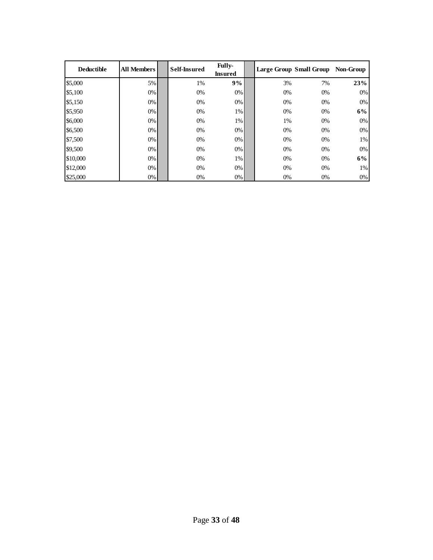| <b>Deductible</b> | <b>All Members</b> | <b>Self-Insured</b> | <b>Fully-</b><br><b>Insured</b> |       | Large Group Small Group Non-Group |       |
|-------------------|--------------------|---------------------|---------------------------------|-------|-----------------------------------|-------|
| \$5,000           | 5%                 | 1%                  | 9%                              | 3%    | 7%                                | 23%   |
| \$5,100           | $0\%$              | 0%                  | 0%                              | $0\%$ | $0\%$                             | $0\%$ |
| \$5,150           | $0\%$              | 0%                  | $0\%$                           | $0\%$ | $0\%$                             | $0\%$ |
| \$5,950           | $0\%$              | 0%                  | 1%                              | $0\%$ | 0%                                | 6%    |
| \$6,000           | $0\%$              | $0\%$               | 1%                              | 1%    | $0\%$                             | $0\%$ |
| \$6,500           | $0\%$              | $0\%$               | 0%                              | $0\%$ | $0\%$                             | $0\%$ |
| \$7,500           | $0\%$              | $0\%$               | 0%                              | $0\%$ | 0%                                | $1\%$ |
| \$9,500           | $0\%$              | $0\%$               | 0%                              | $0\%$ | 0%                                | $0\%$ |
| \$10,000          | $0\%$              | $0\%$               | 1%                              | $0\%$ | $0\%$                             | 6%    |
| \$12,000          | $0\%$              | $0\%$               | 0%                              | $0\%$ | 0%                                | $1\%$ |
| \$25,000          | $0\%$              | 0%                  | 0%                              | $0\%$ | 0%                                | $0\%$ |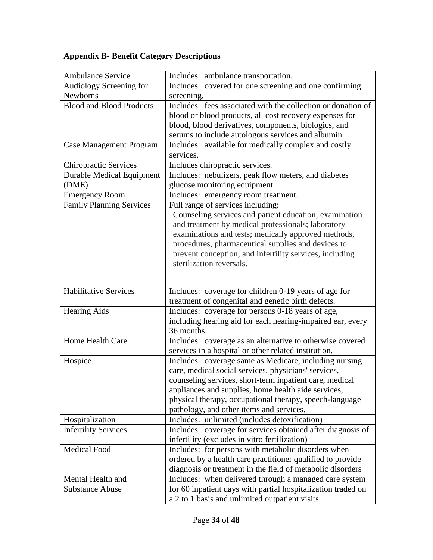# **Appendix B- Benefit Category Descriptions**

| <b>Ambulance Service</b>                    | Includes: ambulance transportation.                                                                                    |
|---------------------------------------------|------------------------------------------------------------------------------------------------------------------------|
| Audiology Screening for                     | Includes: covered for one screening and one confirming                                                                 |
| Newborns                                    | screening.                                                                                                             |
| <b>Blood and Blood Products</b>             | Includes: fees associated with the collection or donation of                                                           |
|                                             | blood or blood products, all cost recovery expenses for                                                                |
|                                             | blood, blood derivatives, components, biologics, and                                                                   |
|                                             | serums to include autologous services and albumin.                                                                     |
| <b>Case Management Program</b>              | Includes: available for medically complex and costly<br>services.                                                      |
| <b>Chiropractic Services</b>                | Includes chiropractic services.                                                                                        |
| <b>Durable Medical Equipment</b>            | Includes: nebulizers, peak flow meters, and diabetes                                                                   |
| (DME)                                       | glucose monitoring equipment.                                                                                          |
| <b>Emergency Room</b>                       | Includes: emergency room treatment.                                                                                    |
| <b>Family Planning Services</b>             | Full range of services including:                                                                                      |
|                                             | Counseling services and patient education; examination                                                                 |
|                                             | and treatment by medical professionals; laboratory                                                                     |
|                                             | examinations and tests; medically approved methods,                                                                    |
|                                             | procedures, pharmaceutical supplies and devices to                                                                     |
|                                             | prevent conception; and infertility services, including                                                                |
|                                             | sterilization reversals.                                                                                               |
|                                             |                                                                                                                        |
|                                             |                                                                                                                        |
|                                             |                                                                                                                        |
| <b>Habilitative Services</b>                | Includes: coverage for children 0-19 years of age for                                                                  |
|                                             | treatment of congenital and genetic birth defects.                                                                     |
| <b>Hearing Aids</b>                         | Includes: coverage for persons 0-18 years of age,                                                                      |
|                                             | including hearing aid for each hearing-impaired ear, every                                                             |
|                                             | 36 months.                                                                                                             |
| Home Health Care                            | Includes: coverage as an alternative to otherwise covered                                                              |
|                                             | services in a hospital or other related institution.                                                                   |
| Hospice                                     | Includes: coverage same as Medicare, including nursing                                                                 |
|                                             | care, medical social services, physicians' services,                                                                   |
|                                             | counseling services, short-term inpatient care, medical                                                                |
|                                             | appliances and supplies, home health aide services,                                                                    |
|                                             | physical therapy, occupational therapy, speech-language                                                                |
|                                             | pathology, and other items and services.                                                                               |
| Hospitalization                             | Includes: unlimited (includes detoxification)                                                                          |
| <b>Infertility Services</b>                 | Includes: coverage for services obtained after diagnosis of                                                            |
|                                             | infertility (excludes in vitro fertilization)                                                                          |
| <b>Medical Food</b>                         | Includes: for persons with metabolic disorders when                                                                    |
|                                             | ordered by a health care practitioner qualified to provide                                                             |
|                                             | diagnosis or treatment in the field of metabolic disorders                                                             |
| Mental Health and<br><b>Substance Abuse</b> | Includes: when delivered through a managed care system<br>for 60 inpatient days with partial hospitalization traded on |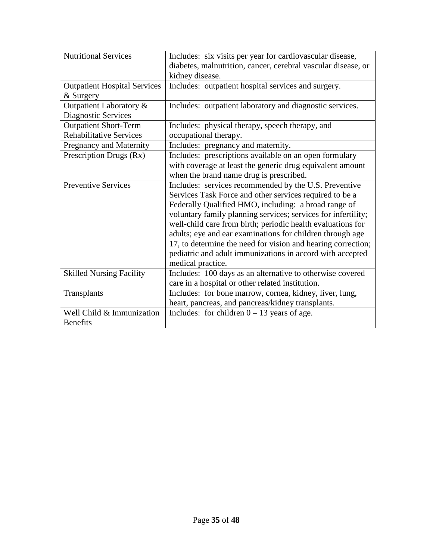| Nutritional Services                                           | Includes: six visits per year for cardiovascular disease,<br>diabetes, malnutrition, cancer, cerebral vascular disease, or<br>kidney disease.                                                                                                                                                                                                                                                                                                                                                                           |
|----------------------------------------------------------------|-------------------------------------------------------------------------------------------------------------------------------------------------------------------------------------------------------------------------------------------------------------------------------------------------------------------------------------------------------------------------------------------------------------------------------------------------------------------------------------------------------------------------|
| <b>Outpatient Hospital Services</b><br>& Surgery               | Includes: outpatient hospital services and surgery.                                                                                                                                                                                                                                                                                                                                                                                                                                                                     |
| Outpatient Laboratory &<br>Diagnostic Services                 | Includes: outpatient laboratory and diagnostic services.                                                                                                                                                                                                                                                                                                                                                                                                                                                                |
| <b>Outpatient Short-Term</b><br><b>Rehabilitative Services</b> | Includes: physical therapy, speech therapy, and<br>occupational therapy.                                                                                                                                                                                                                                                                                                                                                                                                                                                |
| Pregnancy and Maternity                                        | Includes: pregnancy and maternity.                                                                                                                                                                                                                                                                                                                                                                                                                                                                                      |
| Prescription Drugs (Rx)                                        | Includes: prescriptions available on an open formulary<br>with coverage at least the generic drug equivalent amount<br>when the brand name drug is prescribed.                                                                                                                                                                                                                                                                                                                                                          |
| <b>Preventive Services</b>                                     | Includes: services recommended by the U.S. Preventive<br>Services Task Force and other services required to be a<br>Federally Qualified HMO, including: a broad range of<br>voluntary family planning services; services for infertility;<br>well-child care from birth; periodic health evaluations for<br>adults; eye and ear examinations for children through age<br>17, to determine the need for vision and hearing correction;<br>pediatric and adult immunizations in accord with accepted<br>medical practice. |
| <b>Skilled Nursing Facility</b>                                | Includes: 100 days as an alternative to otherwise covered<br>care in a hospital or other related institution.                                                                                                                                                                                                                                                                                                                                                                                                           |
| Transplants                                                    | Includes: for bone marrow, cornea, kidney, liver, lung,<br>heart, pancreas, and pancreas/kidney transplants.                                                                                                                                                                                                                                                                                                                                                                                                            |
| Well Child & Immunization<br><b>Benefits</b>                   | Includes: for children $0 - 13$ years of age.                                                                                                                                                                                                                                                                                                                                                                                                                                                                           |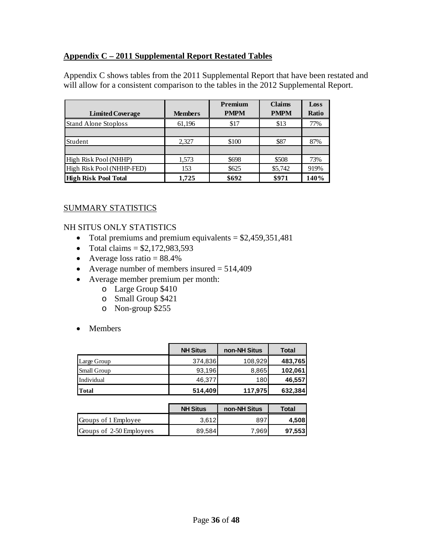# **Appendix C – 2011 Supplemental Report Restated Tables**

Appendix C shows tables from the 2011 Supplemental Report that have been restated and will allow for a consistent comparison to the tables in the 2012 Supplemental Report.

|                             |                | <b>Premium</b> | <b>Claims</b> | Loss  |
|-----------------------------|----------------|----------------|---------------|-------|
| <b>Limited Coverage</b>     | <b>Members</b> | <b>PMPM</b>    | <b>PMPM</b>   | Ratio |
| <b>Stand Alone Stoploss</b> | 61,196         | \$17           | \$13          | 77%   |
|                             |                |                |               |       |
| Student                     | 2,327          | \$100          | \$87          | 87%   |
|                             |                |                |               |       |
| High Risk Pool (NHHP)       | 1,573          | \$698          | \$508         | 73%   |
| High Risk Pool (NHHP-FED)   | 153            | \$625          | \$5,742       | 919%  |
| <b>High Risk Pool Total</b> | 1.725          | \$692          | \$971         | 140%  |

## SUMMARY STATISTICS

### NH SITUS ONLY STATISTICS

- Total premiums and premium equivalents  $= $2,459,351,481$
- Total claims =  $$2,172,983,593$
- Average loss ratio  $= 88.4\%$
- Average number of members insured  $= 514,409$
- Average member premium per month:
	- o Large Group \$410
	- o Small Group \$421
	- o Non-group \$255
- Members

|                    | <b>NH Situs</b> | non-NH Situs | <b>Total</b> |
|--------------------|-----------------|--------------|--------------|
| Large Group        | 374,836         | 108,929      | 483,765      |
| <b>Small Group</b> | 93,196          | 8,865        | 102,061      |
| Individual         | 46,377          | 180          | 46,557       |
| <b>Total</b>       | 514,409         | 117,975      | 632,384      |

|                          | <b>NH Situs</b> | non-NH Situs | Total   |
|--------------------------|-----------------|--------------|---------|
| Groups of 1 Employee     | 3.612           | 897          | 4,508   |
| Groups of 2-50 Employees | 89.584          | 7.9691       | 97,5531 |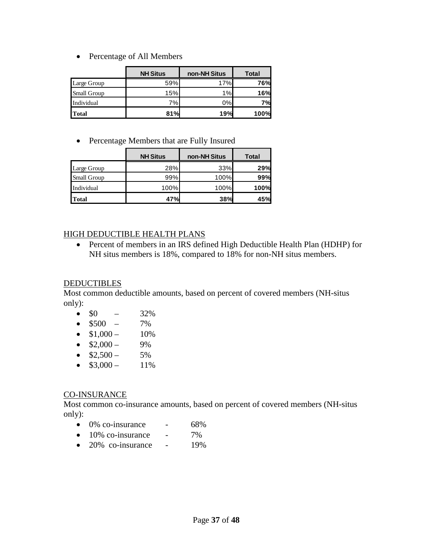• Percentage of All Members

|                    | <b>NH Situs</b> | non-NH Situs | <b>Total</b> |
|--------------------|-----------------|--------------|--------------|
| Large Group        | 59%             | 17%          | 76%          |
| <b>Small Group</b> | 15%             | 1%           | 16%          |
| Individual         | 7%              | 0%           | 7%           |
| <b>Total</b>       | 81%             | 19%          | 100%         |

• Percentage Members that are Fully Insured

|                    | <b>NH Situs</b> | non-NH Situs | <b>Total</b> |
|--------------------|-----------------|--------------|--------------|
| Large Group        | 28%             | 33%          | 29%          |
| <b>Small Group</b> | 99%             | 100%         | 99%          |
| Individual         | 100%            | 100%         | 100%         |
| <b>Total</b>       | 47%             | 38%          | 45%          |

#### HIGH DEDUCTIBLE HEALTH PLANS

• Percent of members in an IRS defined High Deductible Health Plan (HDHP) for NH situs members is 18%, compared to 18% for non-NH situs members.

#### **DEDUCTIBLES**

Most common deductible amounts, based on percent of covered members (NH-situs only):

- $\$0$  32%
- $$500 7\%$
- $$1,000 10\%$
- $$2,000 9\%$
- $$2,500 5\%$
- $$3,000 11\%$

### CO-INSURANCE

Most common co-insurance amounts, based on percent of covered members (NH-situs only):

- $\bullet$  0% co-insurance 68%
- $\bullet$  10% co-insurance 7%
- $\bullet$  20% co-insurance 19%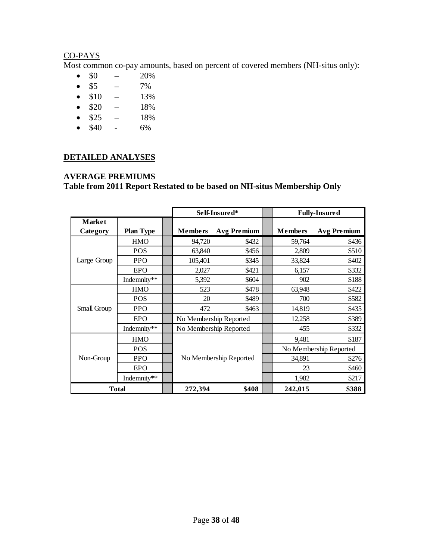### CO-PAYS

Most common co-pay amounts, based on percent of covered members (NH-situs only):

- $$0 20\%$
- $$5$   $7\%$
- $$10 13\%$
- $$20 18\%$
- $$25 18\%$
- \$40 6%

## **DETAILED ANALYSES**

#### **AVERAGE PREMIUMS**

|               |                  | Self-Insured*  |                        |  | <b>Fully-Insured</b>   |                    |  |
|---------------|------------------|----------------|------------------------|--|------------------------|--------------------|--|
| <b>Market</b> |                  |                |                        |  |                        |                    |  |
| Category      | <b>Plan Type</b> | <b>Members</b> | <b>Avg Premium</b>     |  | <b>Members</b>         | <b>Avg Premium</b> |  |
|               | <b>HMO</b>       | 94,720         | \$432                  |  | 59,764                 | \$436              |  |
|               | POS              | 63,840         | \$456                  |  | 2,809                  | \$510              |  |
| Large Group   | <b>PPO</b>       | 105,401        | \$345                  |  | 33,824                 | \$402              |  |
|               | EPO              | 2,027          | \$421                  |  | 6,157                  | \$332              |  |
|               | Indemnity**      | 5,392          | \$604                  |  | 902                    | \$188              |  |
|               | <b>HMO</b>       | 523            | \$478                  |  | 63,948                 | \$422              |  |
|               | <b>POS</b>       | 20             | \$489                  |  | 700                    | \$582              |  |
| Small Group   | <b>PPO</b>       | 472            | \$463                  |  | 14,819                 | \$435              |  |
|               | EPO              |                | No Membership Reported |  |                        | \$389              |  |
|               | Indemnity**      |                | No Membership Reported |  |                        | \$332              |  |
|               | <b>HMO</b>       |                |                        |  | 9,481                  | \$187              |  |
|               | <b>POS</b>       |                |                        |  | No Membership Reported |                    |  |
| Non-Group     | <b>PPO</b>       |                | No Membership Reported |  | 34,891                 | \$276              |  |
|               | <b>EPO</b>       |                |                        |  |                        | \$460              |  |
|               | Indemnity**      |                |                        |  | 1,982                  | \$217              |  |
|               | <b>Total</b>     | 272,394        | \$408                  |  | 242,015                | \$388              |  |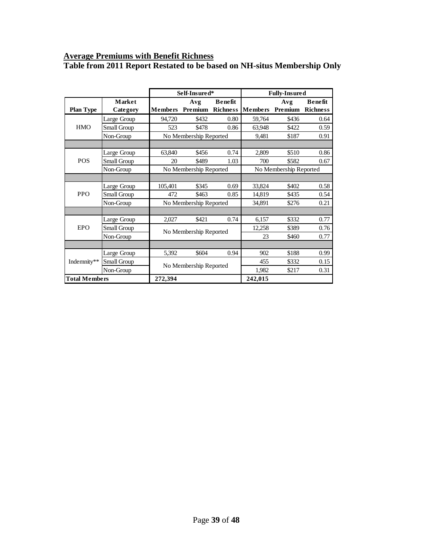#### **Average Premiums with Benefit Richness**

|                      |             |                        | Self-Insured*          |                 | <b>Fully-Insured</b>   |                                 |                |
|----------------------|-------------|------------------------|------------------------|-----------------|------------------------|---------------------------------|----------------|
|                      | Market      |                        | Avg                    | <b>Benefit</b>  |                        | Avg                             | <b>Benefit</b> |
| <b>Plan Type</b>     | Category    | <b>Members</b>         | Premium                | <b>Richness</b> |                        | <b>Members Premium Richness</b> |                |
|                      | Large Group | 94,720                 | \$432                  | 0.80            | 59,764                 | \$436                           | 0.64           |
| <b>HMO</b>           | Small Group | 523                    | \$478                  | 0.86            | 63,948                 | \$422                           | 0.59           |
|                      | Non-Group   |                        | No Membership Reported |                 | 9,481                  | \$187                           | 0.91           |
|                      |             |                        |                        |                 |                        |                                 |                |
|                      | Large Group | 63,840                 | \$456                  | 0.74            | 2,809                  | \$510                           | 0.86           |
| <b>POS</b>           | Small Group | 20                     | \$489                  | 1.03            | 700                    | \$582                           | 0.67           |
|                      | Non-Group   |                        | No Membership Reported |                 | No Membership Reported |                                 |                |
|                      |             |                        |                        |                 |                        |                                 |                |
|                      | Large Group | 105,401                | \$345                  | 0.69            | 33,824                 | \$402                           | 0.58           |
| <b>PPO</b>           | Small Group | 472                    | \$463                  | 0.85            | 14,819                 | \$435                           | 0.54           |
|                      | Non-Group   | No Membership Reported |                        |                 | 34,891                 | \$276                           | 0.21           |
|                      |             |                        |                        |                 |                        |                                 |                |
|                      | Large Group | 2,027                  | \$421                  | 0.74            | 6,157                  | \$332                           | 0.77           |
| EPO                  | Small Group |                        | No Membership Reported |                 | 12,258                 | \$389                           | 0.76           |
|                      | Non-Group   |                        |                        |                 | 23                     | \$460                           | 0.77           |
|                      |             |                        |                        |                 |                        |                                 |                |
|                      | Large Group | 5,392                  | \$604                  | 0.94            | 902                    | \$188                           | 0.99           |
| Indemnity**          | Small Group |                        | No Membership Reported |                 | 455                    | \$332                           | 0.15           |
|                      | Non-Group   |                        |                        |                 | 1,982                  | \$217                           | 0.31           |
| <b>Total Members</b> |             | 272,394                |                        |                 | 242,015                |                                 |                |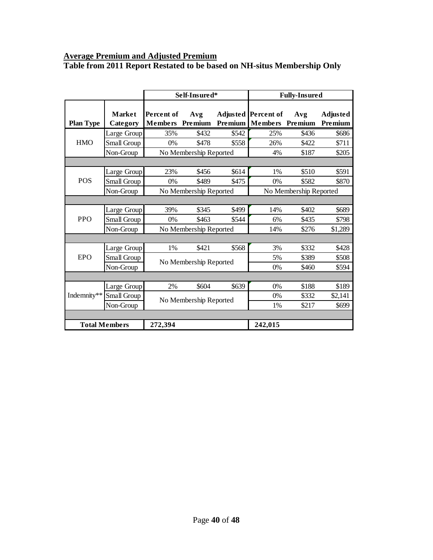### **Average Premium and Adjusted Premium**

|                      |                           |                              | Self-Insured*          |         | <b>Fully-Insured</b>                          |       |                            |  |
|----------------------|---------------------------|------------------------------|------------------------|---------|-----------------------------------------------|-------|----------------------------|--|
| <b>Plan Type</b>     | <b>Market</b><br>Category | Percent of<br><b>Members</b> | Avg<br>Premium         | Premium | Adjusted Percent of<br><b>Members</b> Premium | Avg   | <b>Adjusted</b><br>Premium |  |
|                      | Large Group               | 35%                          | \$432                  | \$542   | 25%                                           | \$436 | \$686                      |  |
| <b>HMO</b>           | Small Group               | 0%                           | \$478                  | \$558   | 26%                                           | \$422 | \$711                      |  |
|                      | Non-Group                 |                              | No Membership Reported |         | 4%                                            | \$187 | \$205                      |  |
|                      |                           |                              |                        |         |                                               |       |                            |  |
|                      | Large Group               | 23%                          | \$456                  | \$614   | $1\%$                                         | \$510 | \$591                      |  |
| <b>POS</b>           | Small Group               | 0%                           | \$489                  | \$475   | 0%                                            | \$582 | \$870                      |  |
|                      | Non-Group                 |                              | No Membership Reported |         | No Membership Reported                        |       |                            |  |
|                      |                           |                              |                        |         |                                               |       |                            |  |
|                      | Large Group               | 39%                          | \$345                  | \$499   | 14%                                           | \$402 | \$689                      |  |
| <b>PPO</b>           | Small Group               | 0%                           | \$463                  | \$544   | 6%                                            | \$435 | \$798                      |  |
|                      | Non-Group                 |                              | No Membership Reported |         | 14%                                           | \$276 | \$1,289                    |  |
|                      |                           |                              |                        |         |                                               |       |                            |  |
|                      | Large Group               | 1%                           | \$421                  | \$568   | 3%                                            | \$332 | \$428                      |  |
| EPO                  | Small Group               |                              | No Membership Reported |         | 5%                                            | \$389 | \$508                      |  |
|                      | Non-Group                 |                              |                        |         | 0%                                            | \$460 | \$594                      |  |
|                      |                           |                              |                        |         |                                               |       |                            |  |
|                      | Large Group               | 2%                           | \$604                  | \$639   | 0%                                            | \$188 | \$189                      |  |
| Indemnity**          | Small Group               |                              | No Membership Reported |         | $0\%$                                         | \$332 | \$2,141                    |  |
|                      | Non-Group                 |                              |                        |         | 1%                                            | \$217 | \$699                      |  |
|                      |                           |                              |                        |         |                                               |       |                            |  |
| <b>Total Members</b> |                           | 272,394                      |                        |         | 242,015                                       |       |                            |  |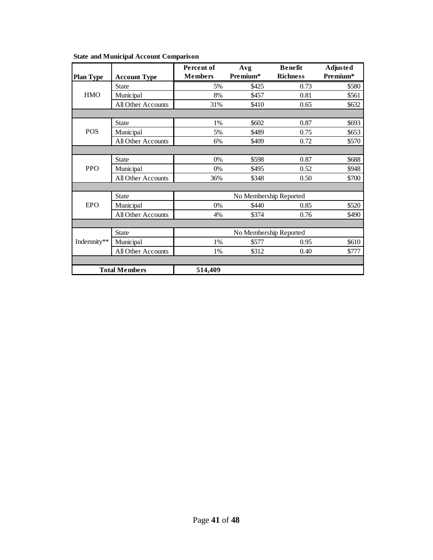|                  |                           | Percent of     | Avg                    | <b>Benefit</b>  | <b>Adjusted</b> |
|------------------|---------------------------|----------------|------------------------|-----------------|-----------------|
| <b>Plan Type</b> | <b>Account Type</b>       | <b>Members</b> | Premium*               | <b>Richness</b> | Premium*        |
|                  | <b>State</b>              | 5%             | \$425                  | 0.73            | \$580           |
| <b>HMO</b>       | Municipal                 | 8%             | \$457                  | 0.81            | \$561           |
|                  | All Other Accounts        | 31%            | \$410                  | 0.65            | \$632           |
|                  |                           |                |                        |                 |                 |
|                  | <b>State</b>              | 1%             | \$602                  | 0.87            | \$693           |
| <b>POS</b>       | Municipal                 | 5%             | \$489                  | 0.75            | \$653           |
|                  | <b>All Other Accounts</b> | 6%             | \$409                  | 0.72            | \$570           |
|                  |                           |                |                        |                 |                 |
|                  | <b>State</b>              | 0%             | \$598                  | 0.87            | \$688           |
| <b>PPO</b>       | Municipal                 | 0%             | \$495                  | 0.52            | \$948           |
|                  | All Other Accounts        | 36%            | \$348                  | 0.50            | \$700           |
|                  |                           |                |                        |                 |                 |
|                  | <b>State</b>              |                | No Membership Reported |                 |                 |
| <b>EPO</b>       | Municipal                 | $0\%$          | \$440                  | 0.85            | \$520           |
|                  | <b>All Other Accounts</b> | 4%             | \$374                  | 0.76            | \$490           |
|                  |                           |                |                        |                 |                 |
|                  | <b>State</b>              |                | No Membership Reported |                 |                 |
| Indemnity**      | Municipal                 | 1%             | \$577                  | 0.95            | \$610           |
|                  | All Other Accounts        | 1%             | \$312                  | 0.40            | \$777           |
|                  |                           |                |                        |                 |                 |
|                  | <b>Total Members</b>      | 514,409        |                        |                 |                 |

**State and Municipal Account Comparison**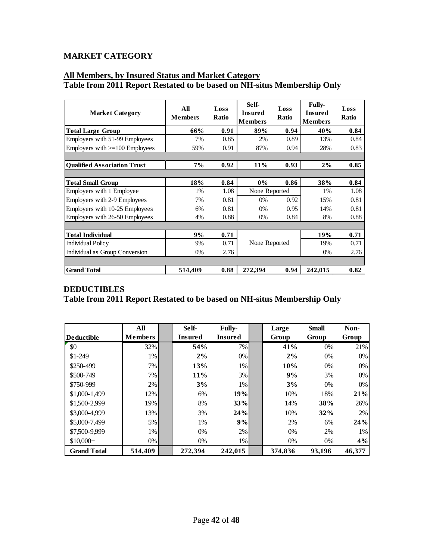# **MARKET CATEGORY**

### **All Members, by Insured Status and Market Category Table from 2011 Report Restated to be based on NH-situs Membership Only**

| <b>Market Category</b>             | All<br><b>Members</b> | Loss<br>Ratio | Self-<br><b>Insured</b><br><b>Members</b> | Loss<br><b>Ratio</b> | <b>Fully-</b><br><b>Insured</b><br><b>Members</b> | Loss<br><b>Ratio</b> |
|------------------------------------|-----------------------|---------------|-------------------------------------------|----------------------|---------------------------------------------------|----------------------|
| <b>Total Large Group</b>           | 66%                   | 0.91          | 89%                                       | 0.94                 | 40%                                               | 0.84                 |
| Employers with 51-99 Employees     | 7%                    | 0.85          | 2%                                        | 0.89                 | 13%                                               | 0.84                 |
| Employers with $>=$ 100 Employees  | 59%                   | 0.91          | 87%                                       | 0.94                 | 28%                                               | 0.83                 |
|                                    |                       |               |                                           |                      |                                                   |                      |
| <b>Oualified Association Trust</b> | 7%                    | 0.92          | 11%                                       | 0.93                 | 2%                                                | 0.85                 |
|                                    |                       |               |                                           |                      |                                                   |                      |
| <b>Total Small Group</b>           | 18%                   | 0.84          | $0\%$                                     | 0.86                 | 38%                                               | 0.84                 |
| Employers with 1 Employee          | 1%                    | 1.08          | None Reported                             |                      | 1%                                                | 1.08                 |
| Employers with 2-9 Employees       | 7%                    | 0.81          | $0\%$                                     | 0.92                 | 15%                                               | 0.81                 |
| Employers with 10-25 Employees     | 6%                    | 0.81          | $0\%$                                     | 0.95                 | 14%                                               | 0.81                 |
| Employers with 26-50 Employees     | 4%                    | 0.88          | $0\%$                                     | 0.84                 | 8%                                                | 0.88                 |
|                                    |                       |               |                                           |                      |                                                   |                      |
| <b>Total Individual</b>            | 9%                    | 0.71          |                                           |                      | 19%                                               | 0.71                 |
| <b>Individual Policy</b>           | 9%                    | 0.71          | None Reported                             |                      | 19%                                               | 0.71                 |
| Individual as Group Conversion     | $0\%$                 | 2.76          |                                           |                      | $0\%$                                             | 2.76                 |
|                                    |                       |               |                                           |                      |                                                   |                      |
| <b>Grand Total</b>                 | 514,409               | 0.88          | 272,394                                   | 0.94                 | 242,015                                           | 0.82                 |

|                    | All            | Self-          | <b>Fully-</b>  | Large   | <b>Small</b> | Non-   |
|--------------------|----------------|----------------|----------------|---------|--------------|--------|
| <b>Deductible</b>  | <b>Members</b> | <b>Insured</b> | <b>Insured</b> | Group   | Group        | Group  |
| \$0                | 32%            | 54%            | 7%             | 41%     | 0%           | 21%    |
| $$1-249$           | $1\%$          | 2%             | $0\%$          | 2%      | 0%           | $0\%$  |
| \$250-499          | 7%             | 13%            | 1%             | 10%     | 0%           | $0\%$  |
| \$500-749          | $7\%$          | 11%            | 3%             | 9%      | 3%           | $0\%$  |
| \$750-999          | $2\%$          | 3%             | 1%             | 3%      | $0\%$        | $0\%$  |
| \$1,000-1,499      | 12%            | 6%             | 19%            | 10%     | 18%          | 21%    |
| \$1,500-2,999      | 19%            | 8%             | 33%            | 14%     | 38%          | 26%    |
| \$3,000-4,999      | 13%            | 3%             | 24%            | 10%     | 32%          | 2%     |
| \$5,000-7,499      | $5\%$          | 1%             | 9%             | 2%      | 6%           | 24%    |
| \$7,500-9,999      | $1\%$          | 0%             | 2%             | 0%      | 2%           | 1%     |
| $$10,000+$         | $0\%$          | 0%             | 1%             | 0%      | 0%           | 4%     |
| <b>Grand Total</b> | 514,409        | 272,394        | 242,015        | 374,836 | 93,196       | 46,377 |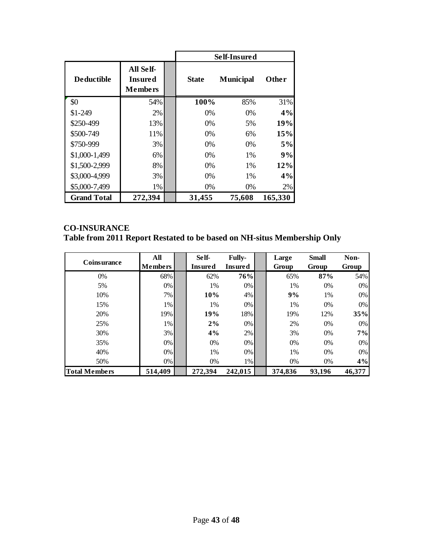|                    |                                               |              | Self-Insured     |         |
|--------------------|-----------------------------------------------|--------------|------------------|---------|
| <b>Deductible</b>  | All Self-<br><b>Insured</b><br><b>Members</b> | <b>State</b> | <b>Municipal</b> | Other   |
| \$0                | 54%                                           | 100%         | 85%              | 31%     |
| $$1-249$           | 2%                                            | $0\%$        | $0\%$            | 4%      |
| \$250-499          | 13%                                           | $0\%$        | 5%               | 19%     |
| \$500-749          | 11%                                           | $0\%$        | 6%               | 15%     |
| \$750-999          | 3%                                            | $0\%$        | $0\%$            | 5%      |
| \$1,000-1,499      | 6%                                            | $0\%$        | 1%               | 9%      |
| \$1,500-2,999      | 8%                                            | $0\%$        | $1\%$            | 12%     |
| \$3,000-4,999      | 3%                                            | $0\%$        | 1%               | 4%      |
| \$5,000-7,499      | 1%                                            | 0%           | 0%               | 2%      |
| <b>Grand Total</b> | 272,394                                       | 31,455       | 75,608           | 165,330 |

# **CO-INSURANCE**

|                      | All            | Self-          | <b>Fully-</b> | Large   | <b>Small</b> | Non-   |
|----------------------|----------------|----------------|---------------|---------|--------------|--------|
| <b>Coinsurance</b>   | <b>Members</b> | <b>Insured</b> | Insured       | Group   | Group        | Group  |
| 0%                   | 68%            | 62%            | 76%           | 65%     | 87%          | 54%    |
| 5%                   | $0\%$          | 1%             | 0%            | 1%      | $0\%$        | $0\%$  |
| 10%                  | 7%             | 10%            | 4%            | 9%      | 1%           | $0\%$  |
| 15%                  | $1\%$          | 1%             | 0%            | 1%      | $0\%$        | $0\%$  |
| 20%                  | 19%            | 19%            | 18%           | 19%     | 12%          | 35%    |
| 25%                  | $1\%$          | 2%             | 0%            | 2%      | $0\%$        | $0\%$  |
| 30%                  | 3%             | 4%             | 2%            | 3%      | $0\%$        | 7%     |
| 35%                  | $0\%$          | $0\%$          | 0%            | $0\%$   | 0%           | $0\%$  |
| 40%                  | $0\%$          | 1%             | 0%            | 1%      | 0%           | $0\%$  |
| 50%                  | $0\%$          | 0%             | 1%            | 0%      | 0%           | 4%     |
| <b>Total Members</b> | 514,409        | 272,394        | 242,015       | 374,836 | 93,196       | 46,377 |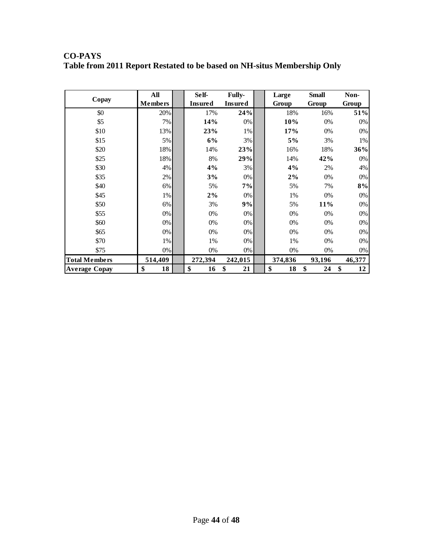|       | All            | Self-          | <b>Fully-</b>  | Large | <b>Small</b> | Non-  |
|-------|----------------|----------------|----------------|-------|--------------|-------|
| Copay | <b>Members</b> | <b>Insured</b> | <b>Insured</b> | Group | Group        | Group |
| \$0   | 20%            | 17%            | 24%            | 18%   | 16%          | 51%   |
| \$5   | 7%             | 14%            | 0%             | 10%   | 0%           | 0%    |
| \$10  | 13%            | 23%            | 1%             | 17%   | 0%           | 0%    |
| \$15  | 5%             | 6%             | 3%             | 5%    | 3%           | 1%    |
| \$20  | 18%            | 14%            | 23%            | 16%   | 18%          | 36%   |
| \$25  | 18%            | 8%             | 29%            | 14%   | 42%          | 0%    |
| \$30  | 4%             | 4%             | 3%             | 4%    | 2%           | 4%    |
| \$35  | 2%             | 3%             | 0%             | $2\%$ | 0%           | 0%    |
| \$40  | 6%             | 5%             | 7%             | 5%    | 7%           | 8%    |
| \$45  | 1%             | 2%             | 0%             | 1%    | 0%           | 0%    |
| \$50  | 6%             | 3%             | 9%             | 5%    | 11%          | 0%    |
| \$55  | 0%             | 0%             | 0%             | 0%    | 0%           | 0%    |
| \$60  | 0%             | 0%             | 0%             | $0\%$ | 0%           | 0%    |
| \$65  | 0%             | 0%             | 0%             | $0\%$ | 0%           | 0%    |
| \$70  | 1%             | 1%             | 0%             | 1%    | 0%           | 0%    |

\$75 0% 0% 0% 0% 0% 0%

**Total Members 514,409 272,394 242,015 374,836 93,196 46,377**<br>Average Copay \$ 18 \$ 16 \$ 21 \$ 18 \$ 24 \$ 12 **Average Copay \$ 18 \$ 16 \$ 21 \$ 18 \$ 24 \$ 12**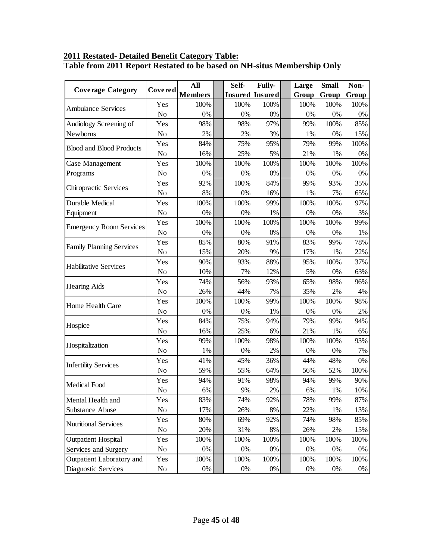### **2011 Restated- Detailed Benefit Category Table: Table from 2011 Report Restated to be based on NH-situs Membership Only**

| <b>Coverage Category</b>        | Covered        | All            | Self- | <b>Fully-</b>          | Large | <b>Small</b> | Non-  |
|---------------------------------|----------------|----------------|-------|------------------------|-------|--------------|-------|
|                                 |                | <b>Members</b> |       | <b>Insured Insured</b> | Group | Group        | Group |
| <b>Ambulance Services</b>       | Yes            | 100%           | 100%  | 100%                   | 100%  | 100%         | 100%  |
|                                 | No             | $0\%$          | 0%    | 0%                     | 0%    | 0%           | 0%    |
| Audiology Screening of          | Yes            | 98%            | 98%   | 97%                    | 99%   | 100%         | 85%   |
| Newborns                        | N <sub>o</sub> | 2%             | 2%    | 3%                     | 1%    | 0%           | 15%   |
| <b>Blood and Blood Products</b> | Yes            | 84%            | 75%   | 95%                    | 79%   | 99%          | 100%  |
|                                 | N <sub>o</sub> | 16%            | 25%   | 5%                     | 21%   | 1%           | $0\%$ |
| Case Management                 | Yes            | 100%           | 100%  | 100%                   | 100%  | 100%         | 100%  |
| Programs                        | No             | 0%             | 0%    | 0%                     | 0%    | 0%           | 0%    |
| Chiropractic Services           | Yes            | 92%            | 100%  | 84%                    | 99%   | 93%          | 35%   |
|                                 | N <sub>o</sub> | 8%             | 0%    | 16%                    | 1%    | 7%           | 65%   |
| Durable Medical                 | Yes            | 100%           | 100%  | 99%                    | 100%  | 100%         | 97%   |
| Equipment                       | No             | 0%             | 0%    | 1%                     | 0%    | 0%           | 3%    |
| <b>Emergency Room Services</b>  | Yes            | 100%           | 100%  | 100%                   | 100%  | 100%         | 99%   |
|                                 | No             | 0%             | 0%    | $0\%$                  | 0%    | 0%           | 1%    |
| <b>Family Planning Services</b> | Yes            | 85%            | 80%   | 91%                    | 83%   | 99%          | 78%   |
|                                 | N <sub>o</sub> | 15%            | 20%   | 9%                     | 17%   | 1%           | 22%   |
| <b>Habilitative Services</b>    | Yes            | 90%            | 93%   | 88%                    | 95%   | 100%         | 37%   |
|                                 | No             | 10%            | 7%    | 12%                    | 5%    | 0%           | 63%   |
| <b>Hearing Aids</b>             | Yes            | 74%            | 56%   | 93%                    | 65%   | 98%          | 96%   |
|                                 | N <sub>o</sub> | 26%            | 44%   | 7%                     | 35%   | 2%           | 4%    |
| Home Health Care                | Yes            | 100%           | 100%  | 99%                    | 100%  | 100%         | 98%   |
|                                 | N <sub>o</sub> | 0%             | 0%    | 1%                     | 0%    | 0%           | 2%    |
|                                 | Yes            | 84%            | 75%   | 94%                    | 79%   | 99%          | 94%   |
| Hospice                         | No             | 16%            | 25%   | 6%                     | 21%   | 1%           | 6%    |
|                                 | Yes            | 99%            | 100%  | 98%                    | 100%  | 100%         | 93%   |
| Hospitalization                 | No             | 1%             | 0%    | 2%                     | 0%    | $0\%$        | 7%    |
|                                 | Yes            | 41%            | 45%   | 36%                    | 44%   | 48%          | 0%    |
| <b>Infertility Services</b>     | No             | 59%            | 55%   | 64%                    | 56%   | 52%          | 100%  |
|                                 | Yes            | 94%            | 91%   | 98%                    | 94%   | 99%          | 90%   |
| Medical Food                    | No             | 6%             | 9%    | 2%                     | 6%    | 1%           | 10%   |
| Mental Health and               | Yes            | 83%            | 74%   | 92%                    | 78%   | 99%          | 87%   |
| <b>Substance Abuse</b>          | No             | 17%            | 26%   | $8\%$                  | 22%   | 1%           | 13%   |
|                                 | Yes            | 80%            | 69%   | 92%                    | 74%   | 98%          | 85%   |
| <b>Nutritional Services</b>     | No             | 20%            | 31%   | 8%                     | 26%   | 2%           | 15%   |
| <b>Outpatient Hospital</b>      | Yes            | 100%           | 100%  | 100%                   | 100%  | 100%         | 100%  |
| Services and Surgery            | No             | $0\%$          | 0%    | 0%                     | $0\%$ | $0\%$        | 0%    |
| Outpatient Laboratory and       | Yes            | 100%           | 100%  | 100%                   | 100%  | 100%         | 100%  |
| Diagnostic Services             | No             | $0\%$          | $0\%$ | $0\%$                  | $0\%$ | $0\%$        | 0%    |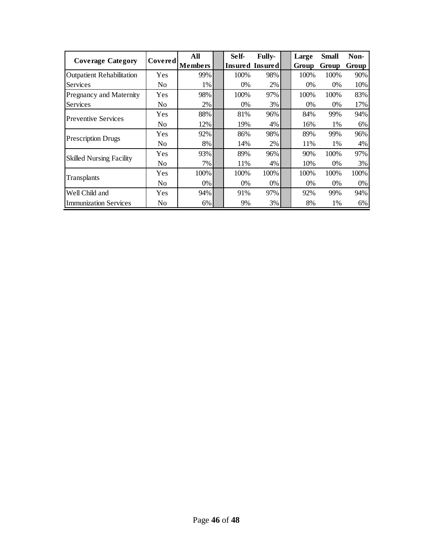| <b>Coverage Category</b>         | <b>Covered</b> | All            | Self- | <b>Fully-</b>   | Large | <b>Small</b> | Non-  |
|----------------------------------|----------------|----------------|-------|-----------------|-------|--------------|-------|
|                                  |                | <b>Members</b> |       | Insured Insured | Group | Group        | Group |
| <b>Outpatient Rehabilitation</b> | Yes            | 99%            | 100%  | 98%             | 100%  | 100%         | 90%   |
| Services                         | No             | $1\%$          | $0\%$ | 2%              | $0\%$ | $0\%$        | 10%   |
| Pregnancy and Maternity          | Yes            | 98%            | 100%  | 97%             | 100%  | 100%         | 83%   |
| Services                         | No             | 2%             | 0%    | 3%              | $0\%$ | 0%           | 17%   |
| <b>Preventive Services</b>       | Yes            | 88%            | 81%   | 96%             | 84%   | 99%          | 94%   |
|                                  | No             | 12%            | 19%   | 4%              | 16%   | 1%           | 6%    |
| <b>Prescription Drugs</b>        | Yes            | 92%            | 86%   | 98%             | 89%   | 99%          | 96%   |
|                                  | No             | 8%             | 14%   | 2%              | 11%   | 1%           | 4%    |
| <b>Skilled Nursing Facility</b>  | Yes            | 93%            | 89%   | 96%             | 90%   | 100%         | 97%   |
|                                  | No             | 7%             | 11%   | 4%              | 10%   | 0%           | 3%    |
| Transplants                      | Yes            | 100%           | 100%  | 100%            | 100%  | 100%         | 100%  |
|                                  | No             | $0\%$          | 0%    | $0\%$           | 0%    | 0%           | 0%    |
| Well Child and                   | Yes            | 94%            | 91%   | 97%             | 92%   | 99%          | 94%   |
| <b>Immunization Services</b>     | No             | 6%             | 9%    | 3%              | 8%    | 1%           | 6%    |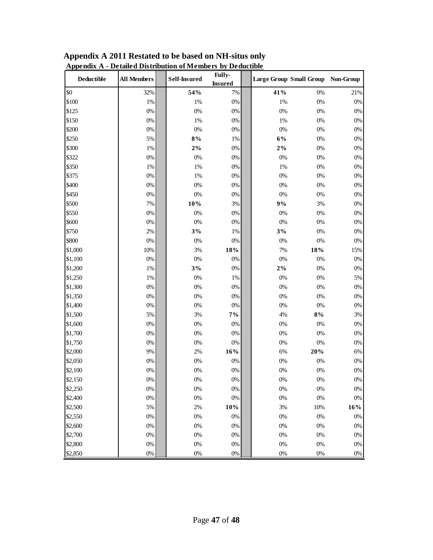| <b>Deductible</b> | <b>All Members</b> | <b>Self-Insured</b> | Fully-<br><b>Insured</b> |       | Large Group Small Group Non-Group |        |
|-------------------|--------------------|---------------------|--------------------------|-------|-----------------------------------|--------|
| \$0               | 32%                | 54%                 | 7%                       | 41%   | 0%                                | 21%    |
| \$100             | 1%                 | 1%                  | 0%                       | 1%    | $0\%$                             | $0\%$  |
| \$125             | $0\%$              | 0%                  | $0\%$                    | 0%    | 0%                                | $0\%$  |
| \$150             | $0\%$              | 1%                  | 0%                       | 1%    | 0%                                | $0\%$  |
| \$200             | $0\%$              | 0%                  | 0%                       | 0%    | 0%                                | $0\%$  |
| \$250             | 5%                 | 8%                  | 1%                       | $6\%$ | $0\%$                             | $0\%$  |
| \$300             | 1%                 | $2\%$               | $0\%$                    | $2\%$ | $0\%$                             | $0\%$  |
| \$322             | $0\%$              | 0%                  | 0%                       | 0%    | 0%                                | $0\%$  |
| \$350             | 1%                 | 1%                  | 0%                       | 1%    | 0%                                | $0\%$  |
| \$375             | $0\%$              | 1%                  | $0\%$                    | 0%    | 0%                                | $0\%$  |
| \$400             | $0\%$              | $0\%$               | 0%                       | 0%    | 0%                                | $0\%$  |
| \$450             | $0\%$              | 0%                  | 0%                       | 0%    | 0%                                | $0\%$  |
| \$500             | $7\%$              | 10%                 | $3\%$                    | 9%    | 3%                                | $0\%$  |
| \$550             | $0\%$              | $0\%$               | $0\%$                    | 0%    | $0\%$                             | $0\%$  |
| \$600             | $0\%$              | 0%                  | 0%                       | $0\%$ | 0%                                | $0\%$  |
| \$750             | $2\%$              | 3%                  | 1%                       | 3%    | 0%                                | $0\%$  |
| \$800             | 0%                 | 0%                  | $0\%$                    | 0%    | $0\%$                             | $0\%$  |
| \$1,000           | 10%                | 3%                  | 18%                      | 7%    | $18\%$                            | 15%    |
| \$1,100           | $0\%$              | 0%                  | 0%                       | 0%    | 0%                                | $0\%$  |
| \$1,200           | $1\%$              | 3%                  | $0\%$                    | $2\%$ | $0\%$                             | $0\%$  |
| \$1,250           | $1\%$              | 0%                  | 1%                       | 0%    | 0%                                | 5%     |
| \$1,300           | $0\%$              | $0\%$               | 0%                       | 0%    | 0%                                | $0\%$  |
| \$1,350           | $0\%$              | $0\%$               | 0%                       | 0%    | 0%                                | $0\%$  |
| \$1,400           | $0\%$              | 0%                  | $0\%$                    | 0%    | $0\%$                             | $0\%$  |
| \$1,500           | 5%                 | 3%                  | 7%                       | 4%    | 8%                                | 3%     |
| \$1,600           | $0\%$              | 0%                  | $0\%$                    | 0%    | 0%                                | $0\%$  |
| \$1,700           | $0\%$              | $0\%$               | $0\%$                    | 0%    | $0\%$                             | $0\%$  |
| \$1,750           | 0%                 | $0\%$               | $0\%$                    | 0%    | 0%                                | $0\%$  |
| \$2,000           | 9%                 | 2%                  | 16%                      | 6%    | 20%                               | $6\%$  |
| \$2,050           | $0\%$              | 0%                  | $0\%$                    | 0%    | 0%                                | $0\%$  |
| \$2,100           | $0\%$              | 0%                  | $0\%$                    | 0%    | 0%                                | $0\%$  |
| \$2,150           | $0\%$              | 0%                  | $0\%$                    | 0%    | 0%                                | $0\%$  |
| \$2,250           | 0%                 | $0\%$               | 0%                       | 0%    | 0%                                | 0%     |
| \$2,400           | $0\%$              | $0\%$               | $0\%$                    | $0\%$ | $0\%$                             | $0\%$  |
| \$2,500           | 5%                 | 2%                  | $10\%$                   | 3%    | 10%                               | $16\%$ |
| \$2,550           | $0\%$              | $0\%$               | $0\%$                    | $0\%$ | $0\%$                             | $0\%$  |
| \$2,600           | $0\%$              | $0\%$               | $0\%$                    | 0%    | 0%                                | $0\%$  |
| \$2,700           | $0\%$              | $0\%$               | $0\%$                    | 0%    | $0\%$                             | $0\%$  |
| \$2,800           | $0\%$              | $0\%$               | $0\%$                    | $0\%$ | $0\%$                             | $0\%$  |
| \$2,850           | $0\%$              | $0\%$               | $0\%$                    | $0\%$ | $0\%$                             | $0\%$  |

**Appendix A 2011 Restated to be based on NH-situs only Appendix A - Detailed Distribution of Members by Deductible**